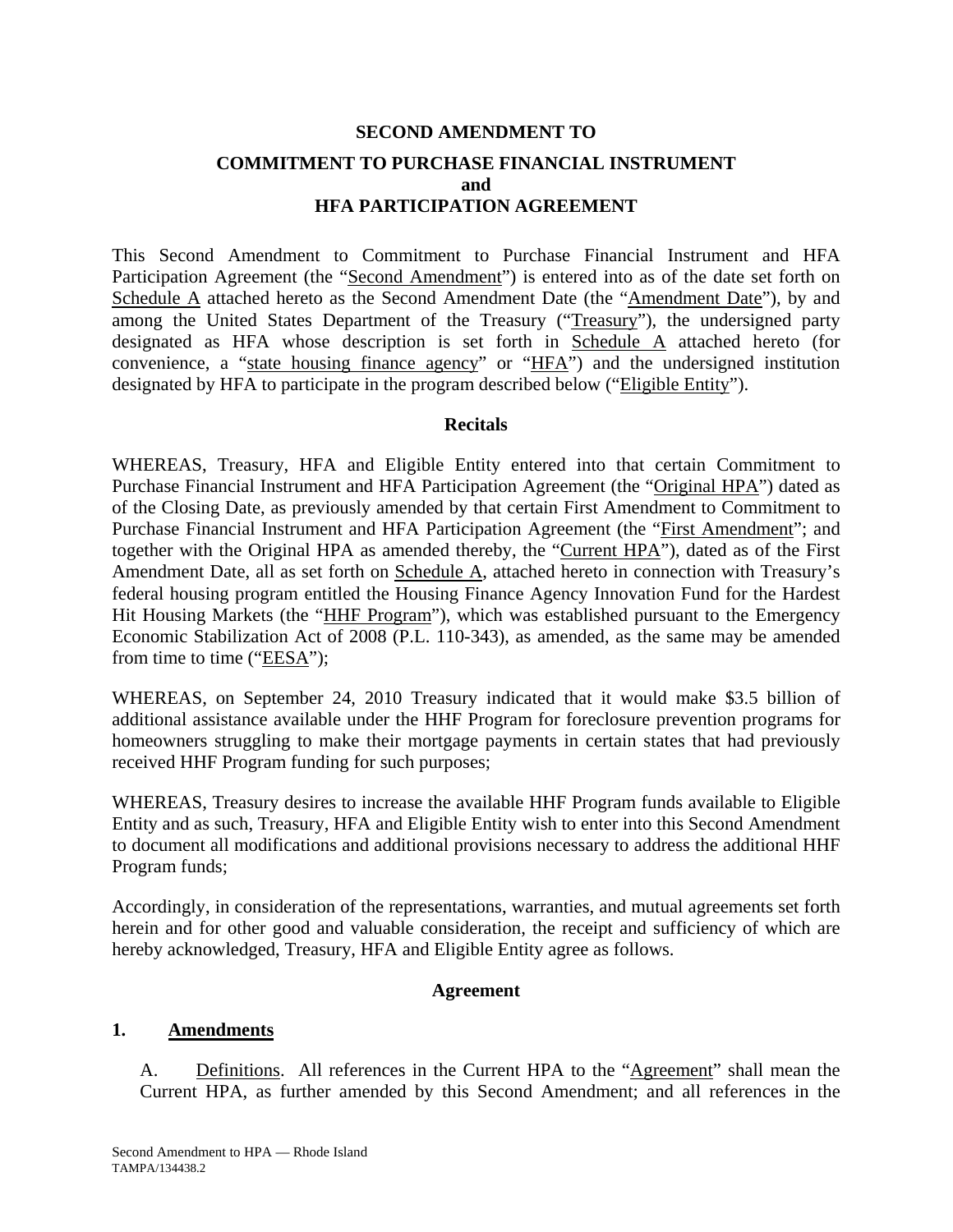# **SECOND AMENDMENT TO COMMITMENT TO PURCHASE FINANCIAL INSTRUMENT and HFA PARTICIPATION AGREEMENT**

This Second Amendment to Commitment to Purchase Financial Instrument and HFA Participation Agreement (the "Second Amendment") is entered into as of the date set forth on Schedule A attached hereto as the Second Amendment Date (the "Amendment Date"), by and among the United States Department of the Treasury ("Treasury"), the undersigned party designated as HFA whose description is set forth in Schedule A attached hereto (for convenience, a "state housing finance agency" or "HFA") and the undersigned institution designated by HFA to participate in the program described below ("Eligible Entity").

#### **Recitals**

WHEREAS, Treasury, HFA and Eligible Entity entered into that certain Commitment to Purchase Financial Instrument and HFA Participation Agreement (the "Original HPA") dated as of the Closing Date, as previously amended by that certain First Amendment to Commitment to Purchase Financial Instrument and HFA Participation Agreement (the "First Amendment"; and together with the Original HPA as amended thereby, the "Current HPA"), dated as of the First Amendment Date, all as set forth on Schedule A, attached hereto in connection with Treasury's federal housing program entitled the Housing Finance Agency Innovation Fund for the Hardest Hit Housing Markets (the "HHF Program"), which was established pursuant to the Emergency Economic Stabilization Act of 2008 (P.L. 110-343), as amended, as the same may be amended from time to time ("EESA");

WHEREAS, on September 24, 2010 Treasury indicated that it would make \$3.5 billion of additional assistance available under the HHF Program for foreclosure prevention programs for homeowners struggling to make their mortgage payments in certain states that had previously received HHF Program funding for such purposes;

WHEREAS, Treasury desires to increase the available HHF Program funds available to Eligible Entity and as such, Treasury, HFA and Eligible Entity wish to enter into this Second Amendment to document all modifications and additional provisions necessary to address the additional HHF Program funds;

Accordingly, in consideration of the representations, warranties, and mutual agreements set forth herein and for other good and valuable consideration, the receipt and sufficiency of which are hereby acknowledged, Treasury, HFA and Eligible Entity agree as follows.

#### **Agreement**

#### **1. Amendments**

A. Definitions. All references in the Current HPA to the "Agreement" shall mean the Current HPA, as further amended by this Second Amendment; and all references in the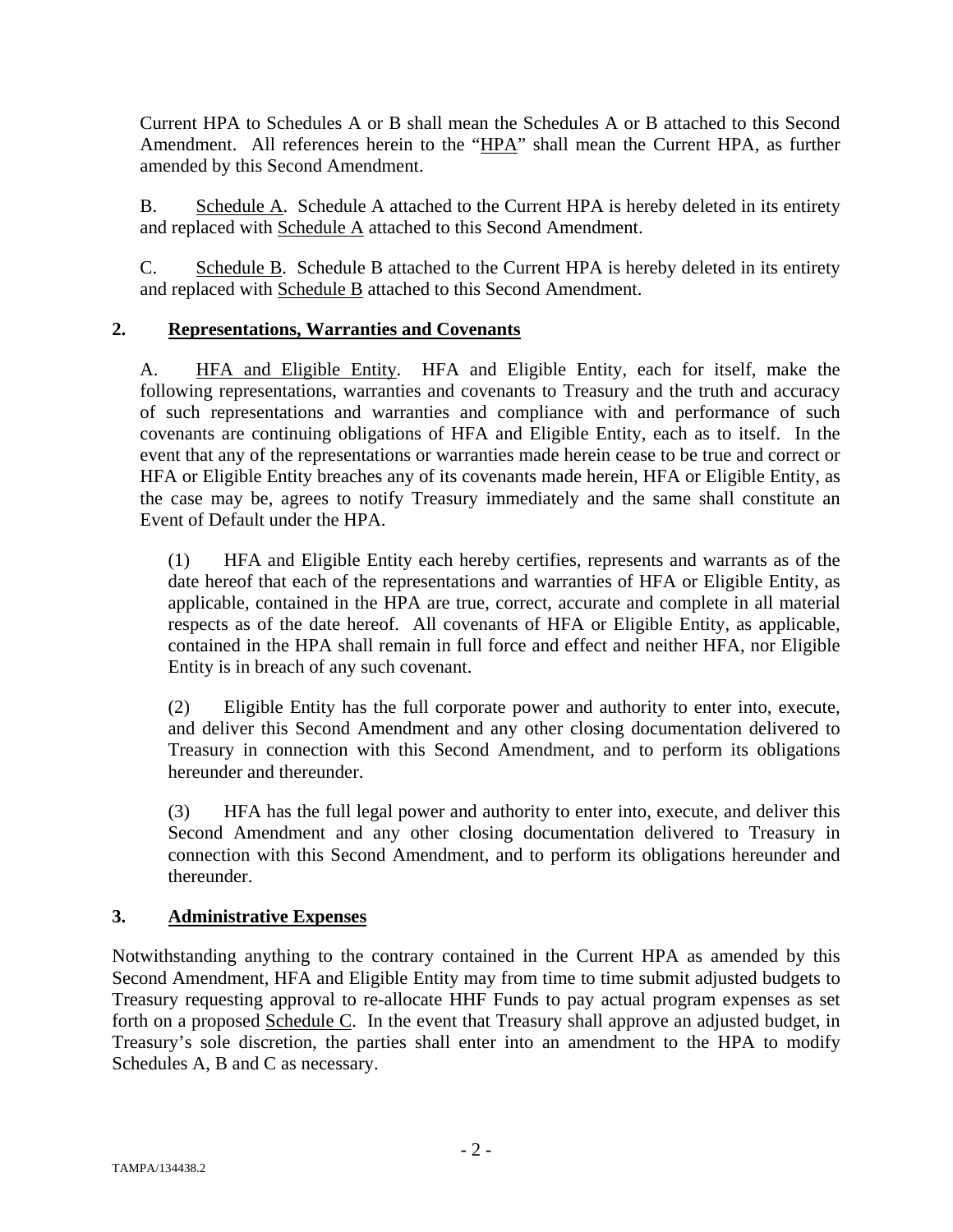Current HPA to Schedules A or B shall mean the Schedules A or B attached to this Second Amendment. All references herein to the "HPA" shall mean the Current HPA, as further amended by this Second Amendment.

B. Schedule A. Schedule A attached to the Current HPA is hereby deleted in its entirety and replaced with Schedule A attached to this Second Amendment.

C. Schedule B. Schedule B attached to the Current HPA is hereby deleted in its entirety and replaced with Schedule B attached to this Second Amendment.

## **2. Representations, Warranties and Covenants**

A. HFA and Eligible Entity. HFA and Eligible Entity, each for itself, make the following representations, warranties and covenants to Treasury and the truth and accuracy of such representations and warranties and compliance with and performance of such covenants are continuing obligations of HFA and Eligible Entity, each as to itself. In the event that any of the representations or warranties made herein cease to be true and correct or HFA or Eligible Entity breaches any of its covenants made herein, HFA or Eligible Entity, as the case may be, agrees to notify Treasury immediately and the same shall constitute an Event of Default under the HPA.

(1) HFA and Eligible Entity each hereby certifies, represents and warrants as of the date hereof that each of the representations and warranties of HFA or Eligible Entity, as applicable, contained in the HPA are true, correct, accurate and complete in all material respects as of the date hereof. All covenants of HFA or Eligible Entity, as applicable, contained in the HPA shall remain in full force and effect and neither HFA, nor Eligible Entity is in breach of any such covenant.

(2) Eligible Entity has the full corporate power and authority to enter into, execute, and deliver this Second Amendment and any other closing documentation delivered to Treasury in connection with this Second Amendment, and to perform its obligations hereunder and thereunder.

(3) HFA has the full legal power and authority to enter into, execute, and deliver this Second Amendment and any other closing documentation delivered to Treasury in connection with this Second Amendment, and to perform its obligations hereunder and thereunder.

#### **3. Administrative Expenses**

Notwithstanding anything to the contrary contained in the Current HPA as amended by this Second Amendment, HFA and Eligible Entity may from time to time submit adjusted budgets to Treasury requesting approval to re-allocate HHF Funds to pay actual program expenses as set forth on a proposed Schedule C. In the event that Treasury shall approve an adjusted budget, in Treasury's sole discretion, the parties shall enter into an amendment to the HPA to modify Schedules A, B and C as necessary.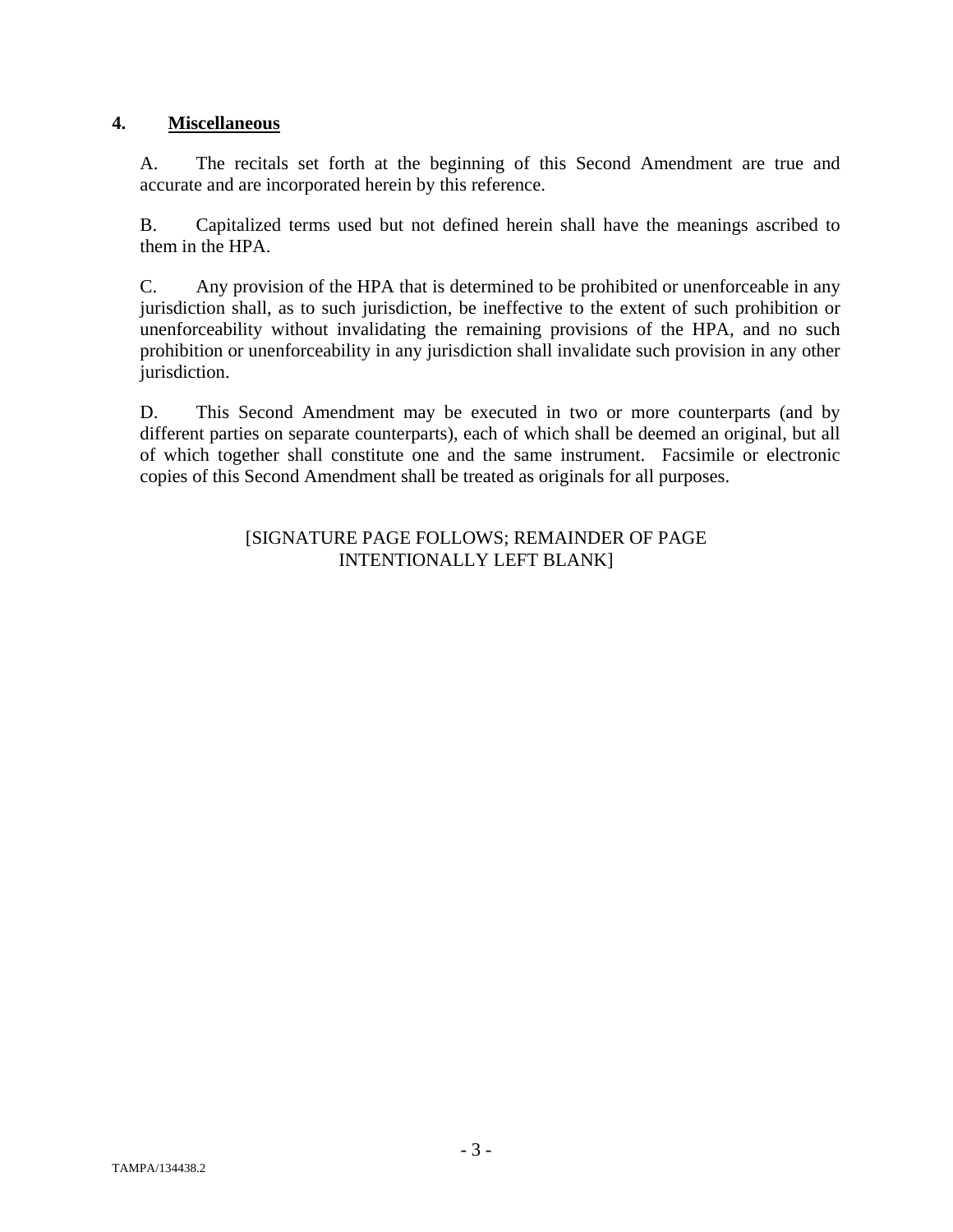#### **4. Miscellaneous**

A. The recitals set forth at the beginning of this Second Amendment are true and accurate and are incorporated herein by this reference.

B. Capitalized terms used but not defined herein shall have the meanings ascribed to them in the HPA.

C. Any provision of the HPA that is determined to be prohibited or unenforceable in any jurisdiction shall, as to such jurisdiction, be ineffective to the extent of such prohibition or unenforceability without invalidating the remaining provisions of the HPA, and no such prohibition or unenforceability in any jurisdiction shall invalidate such provision in any other jurisdiction.

D. This Second Amendment may be executed in two or more counterparts (and by different parties on separate counterparts), each of which shall be deemed an original, but all of which together shall constitute one and the same instrument. Facsimile or electronic copies of this Second Amendment shall be treated as originals for all purposes.

#### [SIGNATURE PAGE FOLLOWS; REMAINDER OF PAGE INTENTIONALLY LEFT BLANK]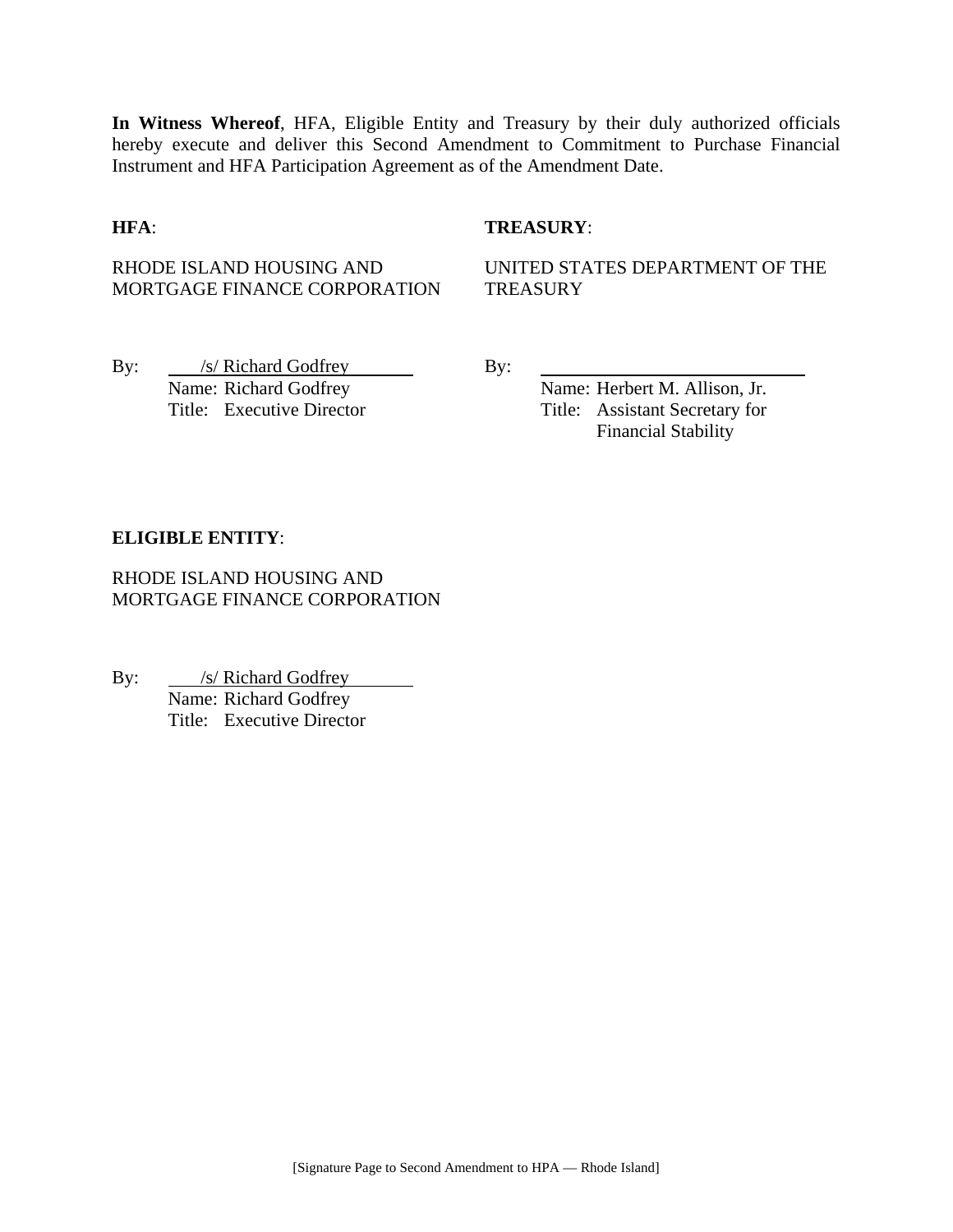**In Witness Whereof**, HFA, Eligible Entity and Treasury by their duly authorized officials hereby execute and deliver this Second Amendment to Commitment to Purchase Financial Instrument and HFA Participation Agreement as of the Amendment Date.

#### **HFA**: **TREASURY**:

RHODE ISLAND HOUSING AND MORTGAGE FINANCE CORPORATION

UNITED STATES DEPARTMENT OF THE **TREASURY** 

By: /s/ Richard Godfrey By: Name: Richard Godfrey Name: Herbert M. Allison, Jr.

Title: Executive Director Title: Assistant Secretary for Financial Stability

#### **ELIGIBLE ENTITY**:

RHODE ISLAND HOUSING AND MORTGAGE FINANCE CORPORATION

By: <u>/s/ Richard Godfrey</u> Name: Richard Godfrey Title: Executive Director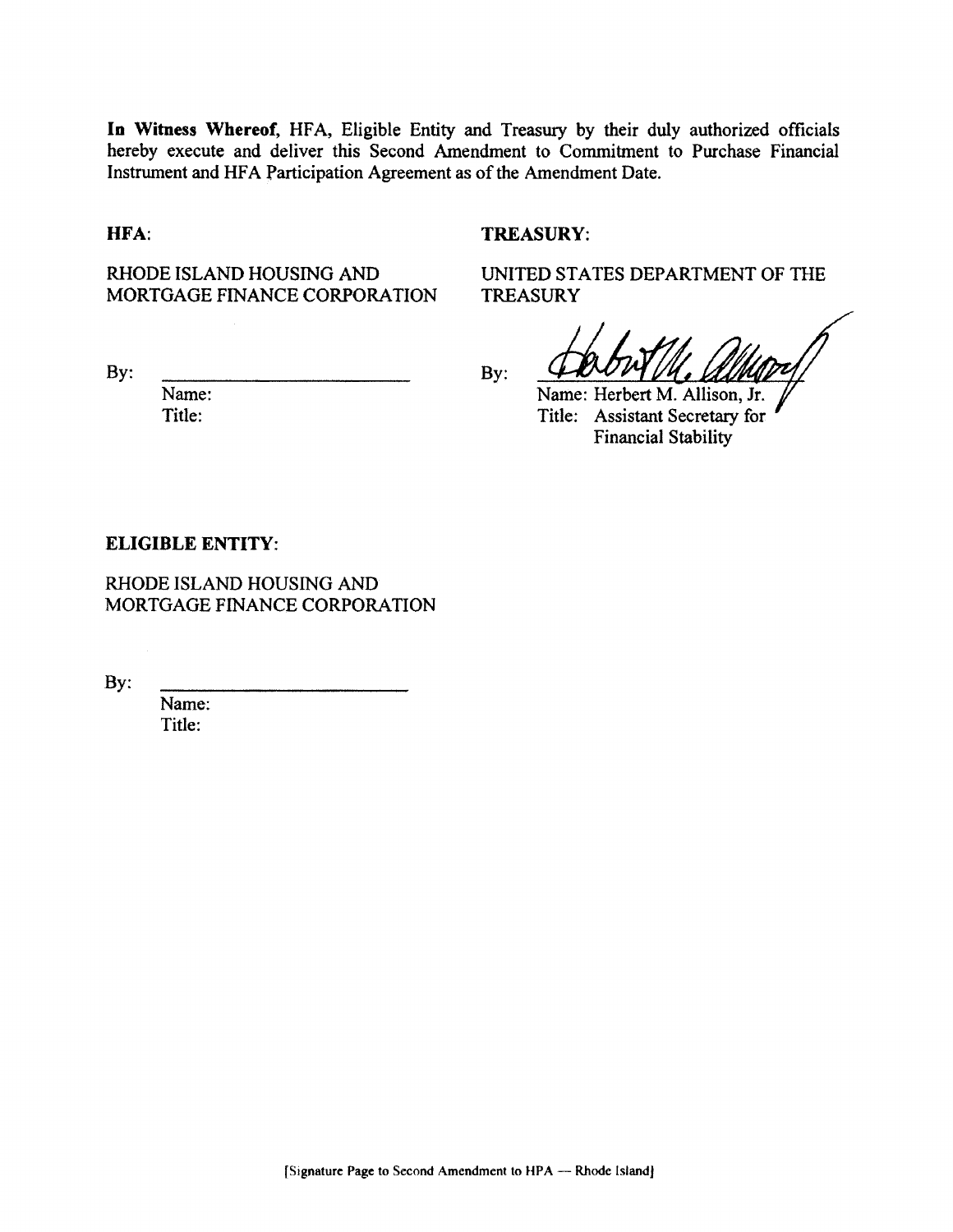In Witness Whereof, HFA, Eligible Entity and Treasury by their duly authorized officials hereby execute and deliver this Second Amendment to Commitment to Purchase Financial Instrument and HFA Participation Agreement as of the Amendment Date.

#### HFA:

#### **TREASURY:**

**TREASURY** 

RHODE ISLAND HOUSING AND MORTGAGE FINANCE CORPORATION

By:

Name: Title:

 $By:$ 

UNITED STATES DEPARTMENT OF THE

Name: Herbert M. Allison, Jr. Title: Assistant Secretary for **Financial Stability** 

#### **ELIGIBLE ENTITY:**

RHODE ISLAND HOUSING AND MORTGAGE FINANCE CORPORATION

By:

Name: Title: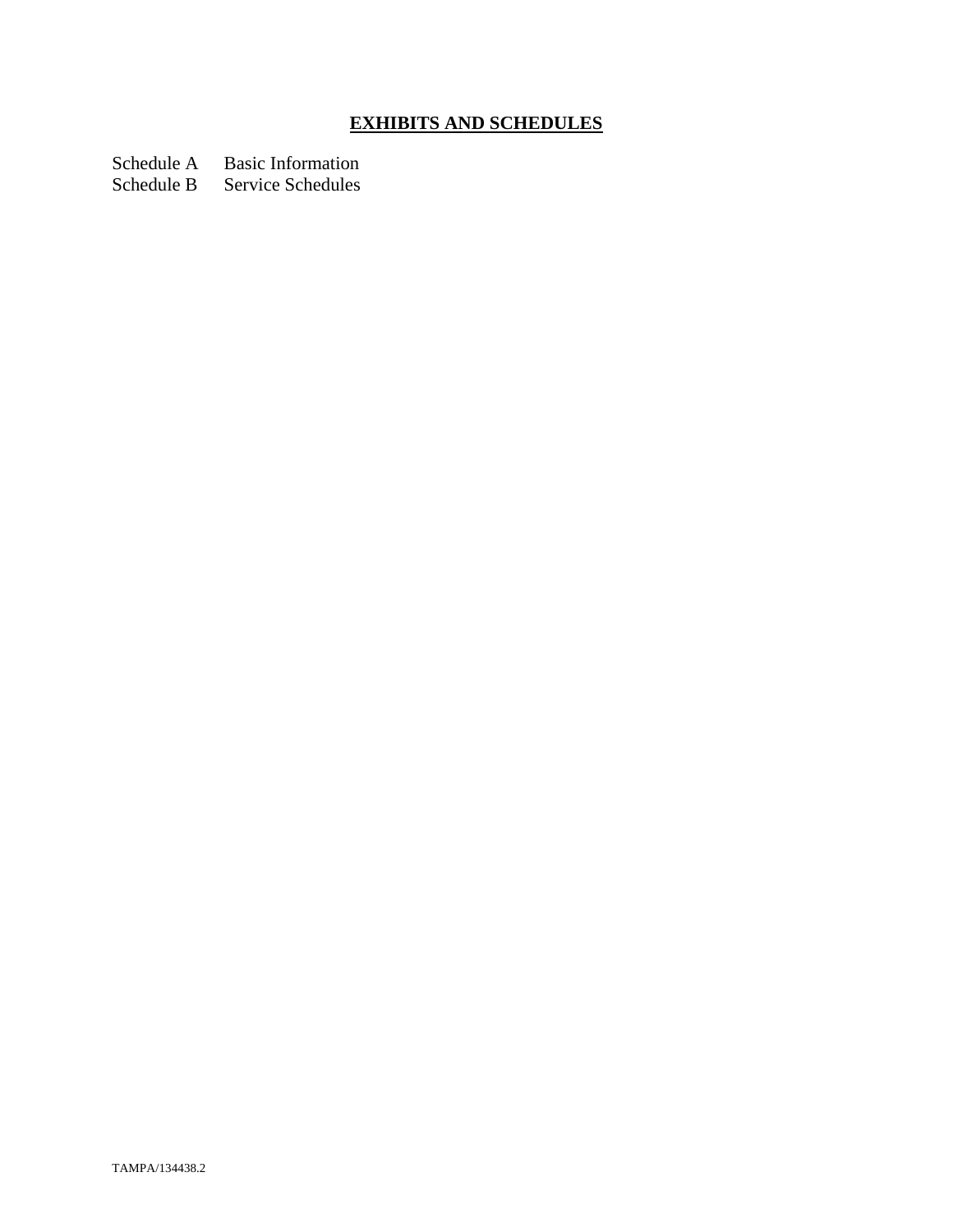# **EXHIBITS AND SCHEDULES**

Schedule A Basic Information<br>Schedule B Service Schedules

Service Schedules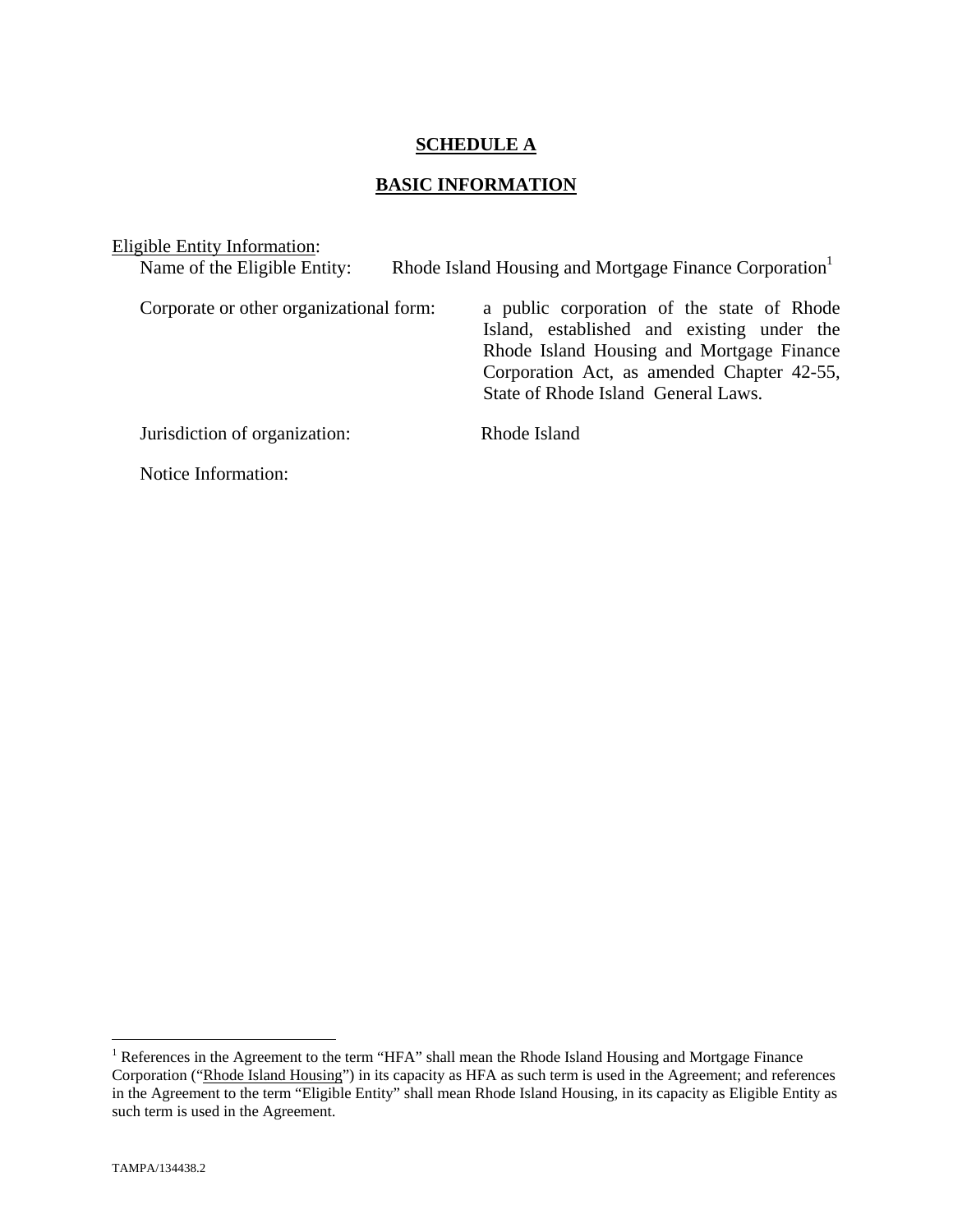#### **SCHEDULE A**

## **BASIC INFORMATION**

| Eligible Entity Information:            |                                                                                                                                                                                                                            |
|-----------------------------------------|----------------------------------------------------------------------------------------------------------------------------------------------------------------------------------------------------------------------------|
| Name of the Eligible Entity:            | Rhode Island Housing and Mortgage Finance Corporation <sup>1</sup>                                                                                                                                                         |
| Corporate or other organizational form: | a public corporation of the state of Rhode<br>Island, established and existing under the<br>Rhode Island Housing and Mortgage Finance<br>Corporation Act, as amended Chapter 42-55,<br>State of Rhode Island General Laws. |
| Jurisdiction of organization:           | Rhode Island                                                                                                                                                                                                               |
| Notice Information:                     |                                                                                                                                                                                                                            |

The Teres in the Agreement to the term "HFA" shall mean the Rhode Island Housing and Mortgage Finance Corporation ("Rhode Island Housing") in its capacity as HFA as such term is used in the Agreement; and references in the Agreement to the term "Eligible Entity" shall mean Rhode Island Housing, in its capacity as Eligible Entity as such term is used in the Agreement.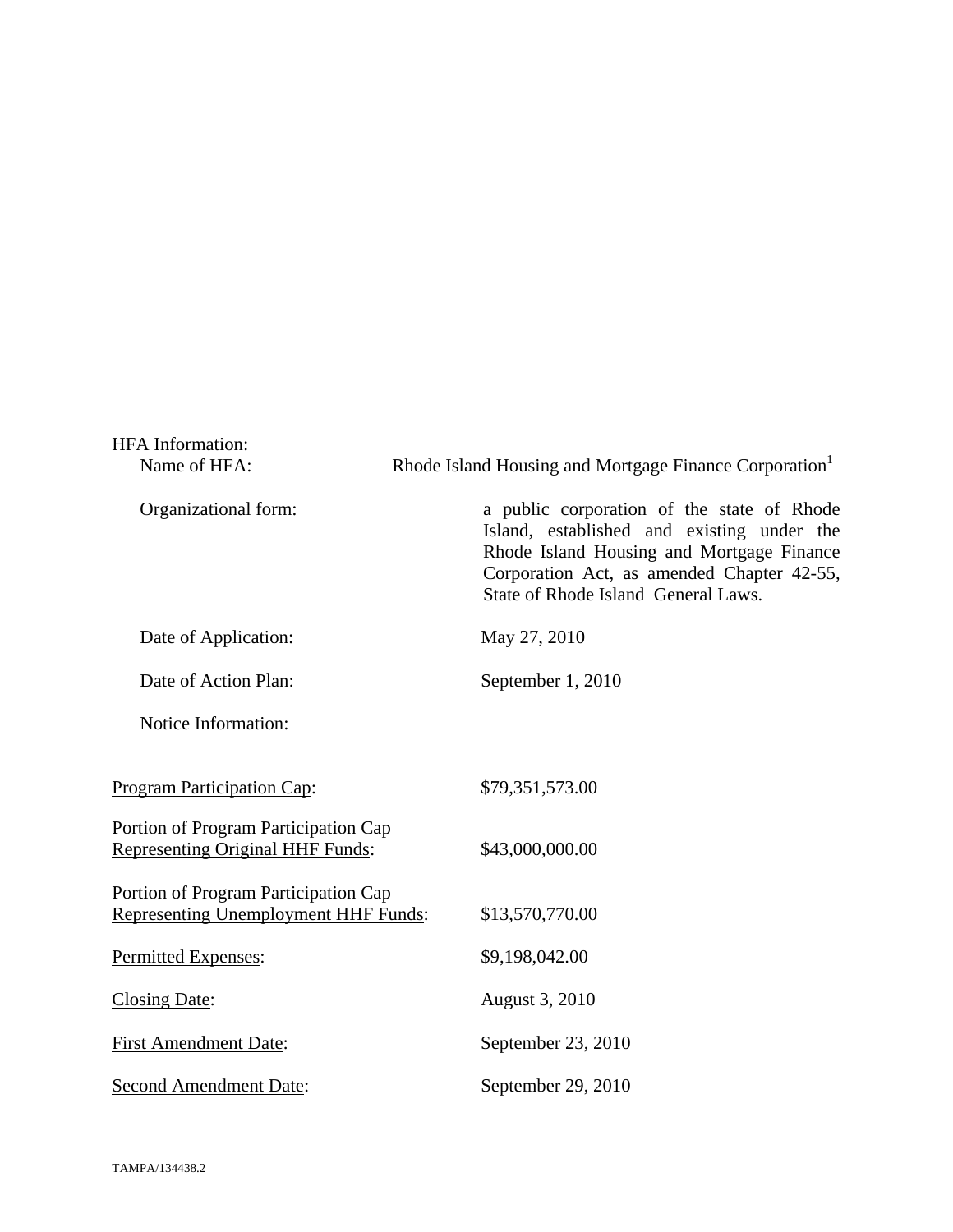| <b>HFA</b> Information:                                                             |                                                                                                                                                                                                                            |
|-------------------------------------------------------------------------------------|----------------------------------------------------------------------------------------------------------------------------------------------------------------------------------------------------------------------------|
| Name of HFA:                                                                        | Rhode Island Housing and Mortgage Finance Corporation <sup>1</sup>                                                                                                                                                         |
| Organizational form:                                                                | a public corporation of the state of Rhode<br>Island, established and existing under the<br>Rhode Island Housing and Mortgage Finance<br>Corporation Act, as amended Chapter 42-55,<br>State of Rhode Island General Laws. |
| Date of Application:                                                                | May 27, 2010                                                                                                                                                                                                               |
| Date of Action Plan:                                                                | September 1, 2010                                                                                                                                                                                                          |
| Notice Information:                                                                 |                                                                                                                                                                                                                            |
| <b>Program Participation Cap:</b>                                                   | \$79,351,573.00                                                                                                                                                                                                            |
| Portion of Program Participation Cap<br><b>Representing Original HHF Funds:</b>     | \$43,000,000.00                                                                                                                                                                                                            |
| Portion of Program Participation Cap<br><b>Representing Unemployment HHF Funds:</b> | \$13,570,770.00                                                                                                                                                                                                            |
| Permitted Expenses:                                                                 | \$9,198,042.00                                                                                                                                                                                                             |
| <b>Closing Date:</b>                                                                | August 3, 2010                                                                                                                                                                                                             |
| <b>First Amendment Date:</b>                                                        | September 23, 2010                                                                                                                                                                                                         |
| <b>Second Amendment Date:</b>                                                       | September 29, 2010                                                                                                                                                                                                         |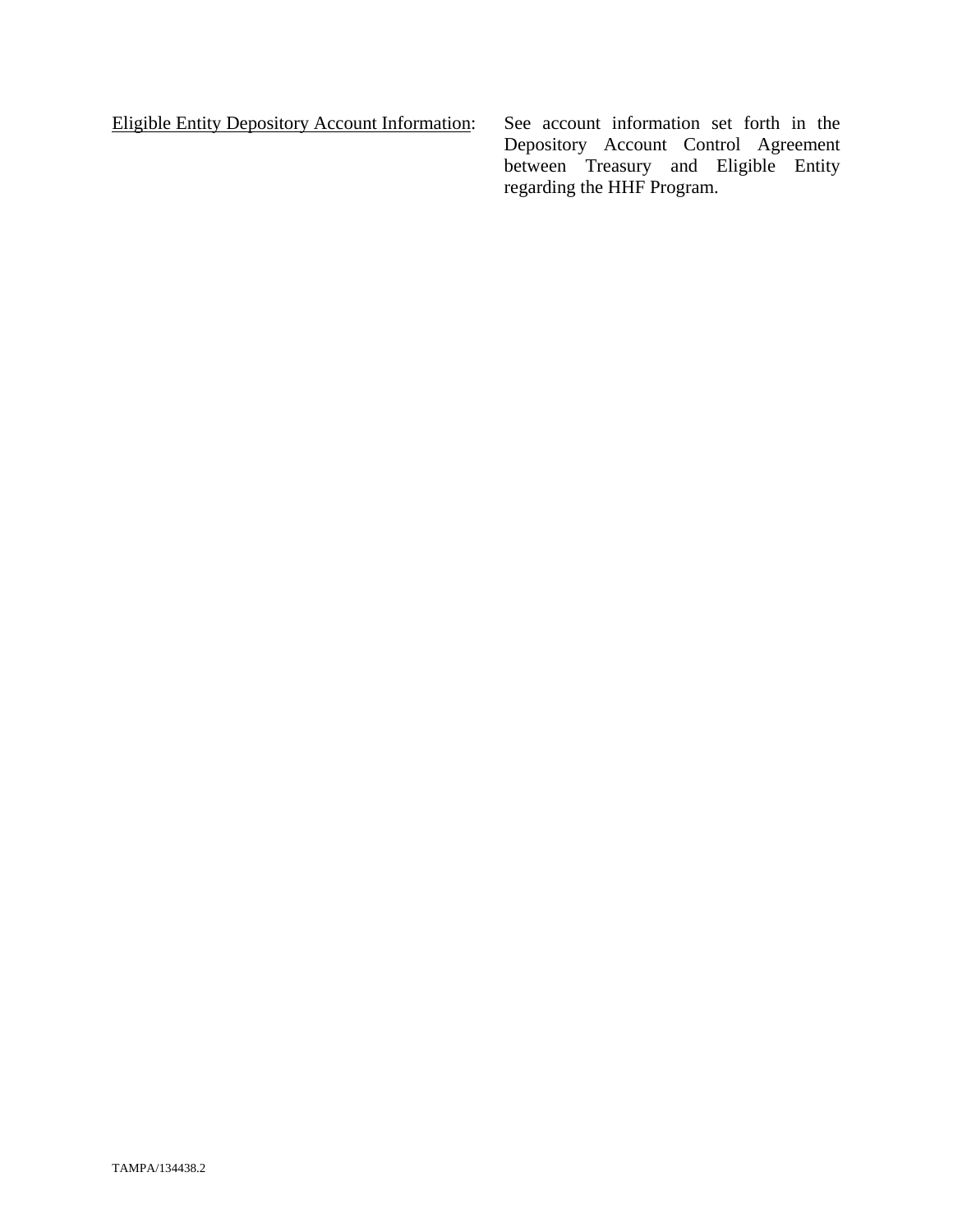Eligible Entity Depository Account Information: See account information set forth in the

Depository Account Control Agreement between Treasury and Eligible Entity regarding the HHF Program.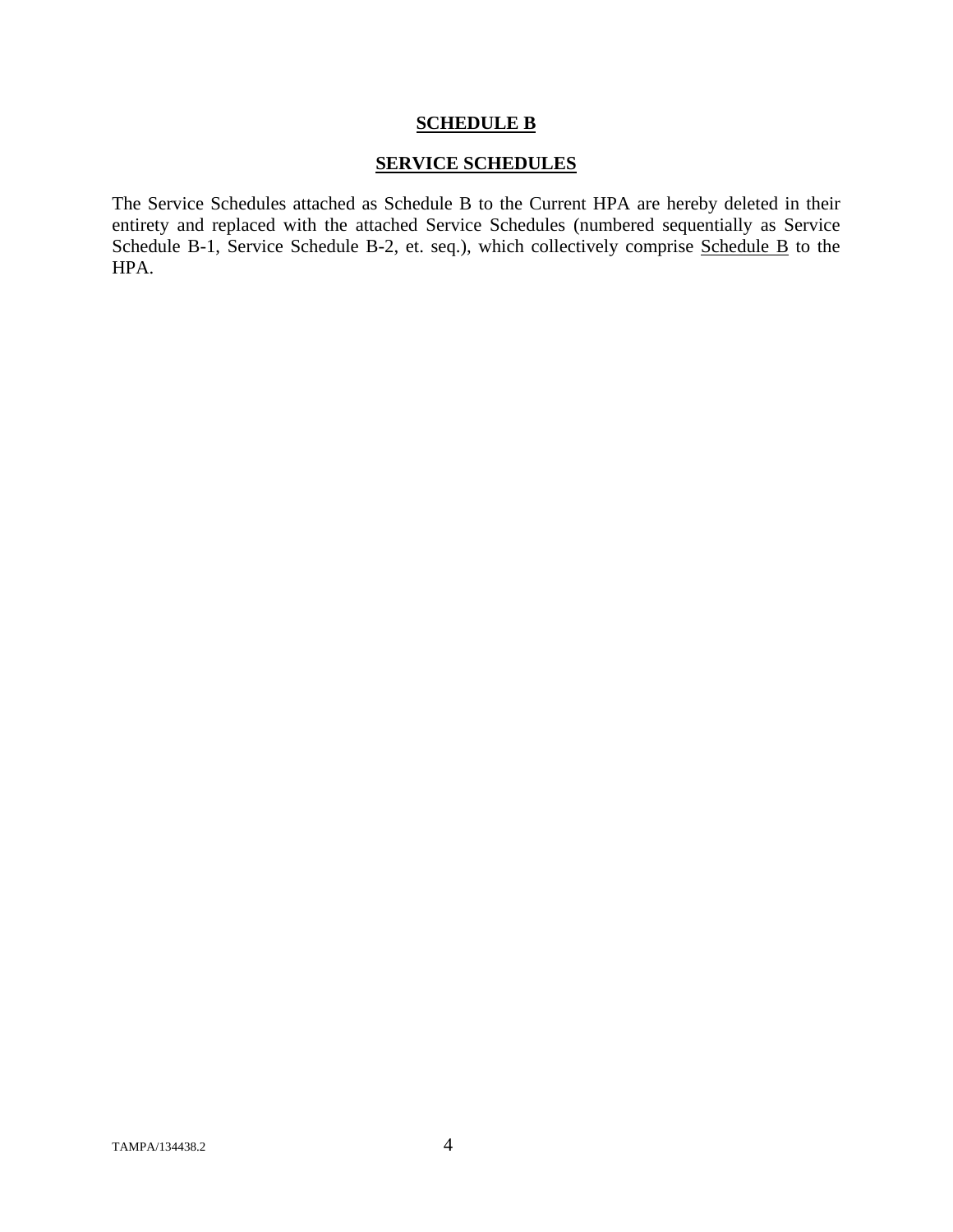#### **SCHEDULE B**

#### **SERVICE SCHEDULES**

The Service Schedules attached as Schedule B to the Current HPA are hereby deleted in their entirety and replaced with the attached Service Schedules (numbered sequentially as Service Schedule B-1, Service Schedule B-2, et. seq.), which collectively comprise Schedule B to the HPA.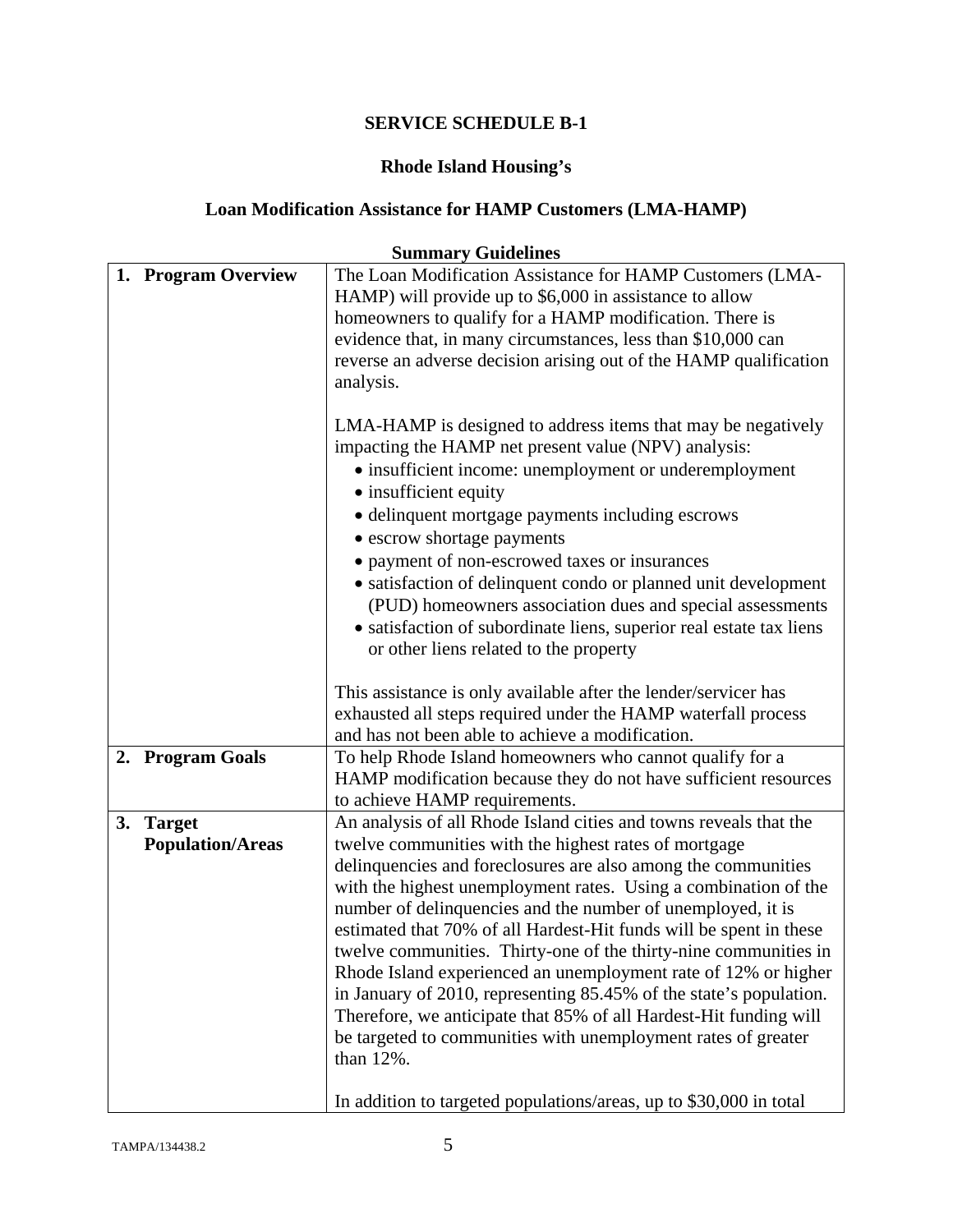# **Rhode Island Housing's**

# **Loan Modification Assistance for HAMP Customers (LMA-HAMP)**

| <b>Summary Guidelines</b>                      |                                                                                                                                                                                                                                                                                                                                                                                                                                                                                                                                                                                                                                                                                                                                                                                                                                          |  |
|------------------------------------------------|------------------------------------------------------------------------------------------------------------------------------------------------------------------------------------------------------------------------------------------------------------------------------------------------------------------------------------------------------------------------------------------------------------------------------------------------------------------------------------------------------------------------------------------------------------------------------------------------------------------------------------------------------------------------------------------------------------------------------------------------------------------------------------------------------------------------------------------|--|
| 1. Program Overview                            | The Loan Modification Assistance for HAMP Customers (LMA-<br>HAMP) will provide up to \$6,000 in assistance to allow<br>homeowners to qualify for a HAMP modification. There is<br>evidence that, in many circumstances, less than \$10,000 can<br>reverse an adverse decision arising out of the HAMP qualification<br>analysis.                                                                                                                                                                                                                                                                                                                                                                                                                                                                                                        |  |
|                                                | LMA-HAMP is designed to address items that may be negatively<br>impacting the HAMP net present value (NPV) analysis:<br>• insufficient income: unemployment or underemployment<br>• insufficient equity<br>• delinquent mortgage payments including escrows                                                                                                                                                                                                                                                                                                                                                                                                                                                                                                                                                                              |  |
|                                                | • escrow shortage payments<br>• payment of non-escrowed taxes or insurances<br>• satisfaction of delinquent condo or planned unit development<br>(PUD) homeowners association dues and special assessments<br>• satisfaction of subordinate liens, superior real estate tax liens<br>or other liens related to the property                                                                                                                                                                                                                                                                                                                                                                                                                                                                                                              |  |
|                                                | This assistance is only available after the lender/servicer has<br>exhausted all steps required under the HAMP waterfall process<br>and has not been able to achieve a modification.                                                                                                                                                                                                                                                                                                                                                                                                                                                                                                                                                                                                                                                     |  |
| 2. Program Goals                               | To help Rhode Island homeowners who cannot qualify for a<br>HAMP modification because they do not have sufficient resources<br>to achieve HAMP requirements.                                                                                                                                                                                                                                                                                                                                                                                                                                                                                                                                                                                                                                                                             |  |
| 3.<br><b>Target</b><br><b>Population/Areas</b> | An analysis of all Rhode Island cities and towns reveals that the<br>twelve communities with the highest rates of mortgage<br>delinquencies and foreclosures are also among the communities<br>with the highest unemployment rates. Using a combination of the<br>number of delinquencies and the number of unemployed, it is<br>estimated that 70% of all Hardest-Hit funds will be spent in these<br>twelve communities. Thirty-one of the thirty-nine communities in<br>Rhode Island experienced an unemployment rate of 12% or higher<br>in January of 2010, representing 85.45% of the state's population.<br>Therefore, we anticipate that 85% of all Hardest-Hit funding will<br>be targeted to communities with unemployment rates of greater<br>than 12%.<br>In addition to targeted populations/areas, up to \$30,000 in total |  |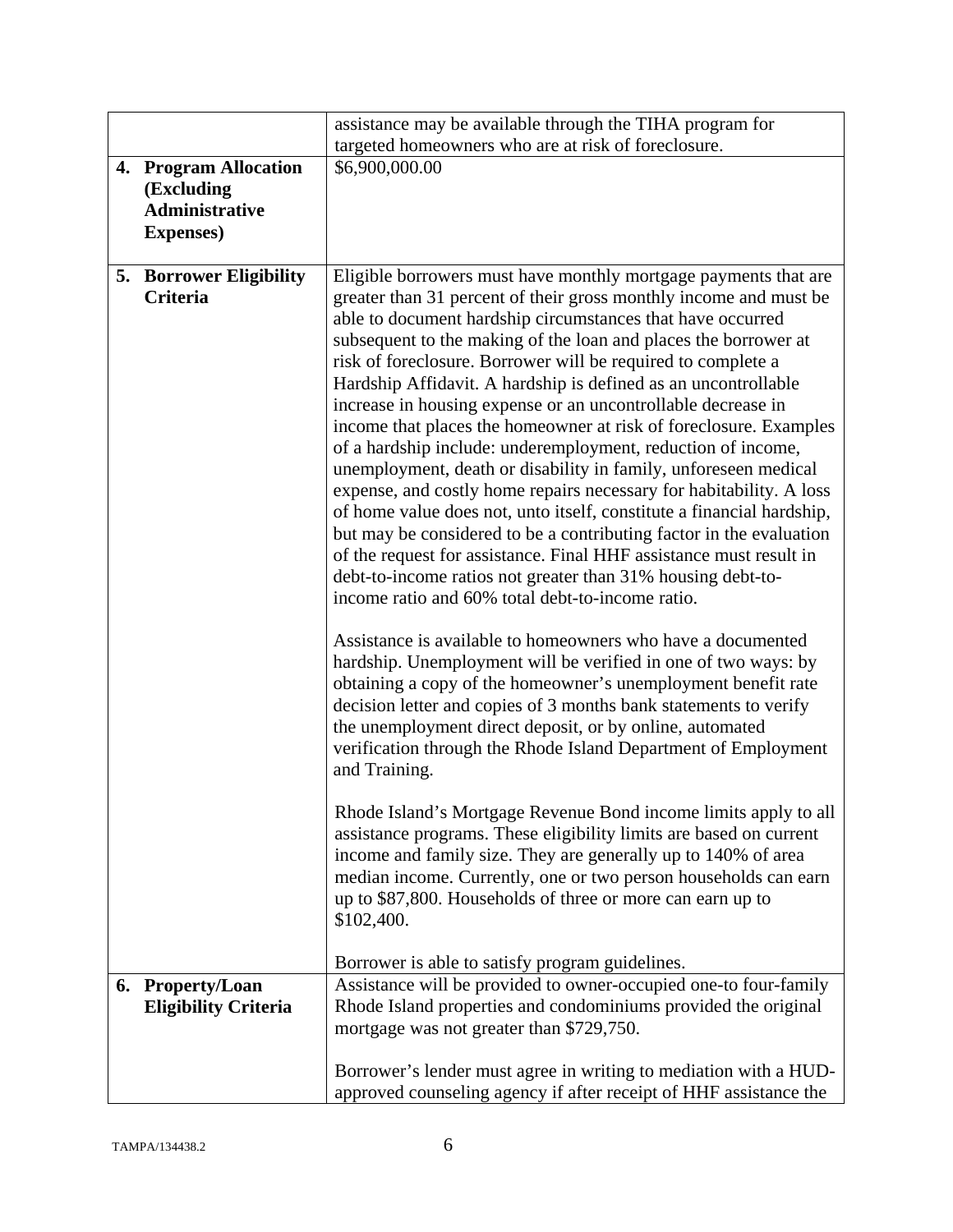|                                                   | assistance may be available through the TIHA program for                                                                                                                                                                                                                                                                                                                                                                                                                                                                                                                                                                                                                                                                                                                                                                                                                                                                                                                                                                                                                                                                                                                                                                                                                                                                                                                                                                                                                                                                                                                                                                                                                                                                                                                                                                                                        |
|---------------------------------------------------|-----------------------------------------------------------------------------------------------------------------------------------------------------------------------------------------------------------------------------------------------------------------------------------------------------------------------------------------------------------------------------------------------------------------------------------------------------------------------------------------------------------------------------------------------------------------------------------------------------------------------------------------------------------------------------------------------------------------------------------------------------------------------------------------------------------------------------------------------------------------------------------------------------------------------------------------------------------------------------------------------------------------------------------------------------------------------------------------------------------------------------------------------------------------------------------------------------------------------------------------------------------------------------------------------------------------------------------------------------------------------------------------------------------------------------------------------------------------------------------------------------------------------------------------------------------------------------------------------------------------------------------------------------------------------------------------------------------------------------------------------------------------------------------------------------------------------------------------------------------------|
|                                                   | targeted homeowners who are at risk of foreclosure.                                                                                                                                                                                                                                                                                                                                                                                                                                                                                                                                                                                                                                                                                                                                                                                                                                                                                                                                                                                                                                                                                                                                                                                                                                                                                                                                                                                                                                                                                                                                                                                                                                                                                                                                                                                                             |
| 4. Program Allocation                             | \$6,900,000.00                                                                                                                                                                                                                                                                                                                                                                                                                                                                                                                                                                                                                                                                                                                                                                                                                                                                                                                                                                                                                                                                                                                                                                                                                                                                                                                                                                                                                                                                                                                                                                                                                                                                                                                                                                                                                                                  |
| (Excluding                                        |                                                                                                                                                                                                                                                                                                                                                                                                                                                                                                                                                                                                                                                                                                                                                                                                                                                                                                                                                                                                                                                                                                                                                                                                                                                                                                                                                                                                                                                                                                                                                                                                                                                                                                                                                                                                                                                                 |
| <b>Administrative</b>                             |                                                                                                                                                                                                                                                                                                                                                                                                                                                                                                                                                                                                                                                                                                                                                                                                                                                                                                                                                                                                                                                                                                                                                                                                                                                                                                                                                                                                                                                                                                                                                                                                                                                                                                                                                                                                                                                                 |
| <b>Expenses</b> )                                 |                                                                                                                                                                                                                                                                                                                                                                                                                                                                                                                                                                                                                                                                                                                                                                                                                                                                                                                                                                                                                                                                                                                                                                                                                                                                                                                                                                                                                                                                                                                                                                                                                                                                                                                                                                                                                                                                 |
|                                                   |                                                                                                                                                                                                                                                                                                                                                                                                                                                                                                                                                                                                                                                                                                                                                                                                                                                                                                                                                                                                                                                                                                                                                                                                                                                                                                                                                                                                                                                                                                                                                                                                                                                                                                                                                                                                                                                                 |
| <b>5. Borrower Eligibility</b><br><b>Criteria</b> | Eligible borrowers must have monthly mortgage payments that are<br>greater than 31 percent of their gross monthly income and must be<br>able to document hardship circumstances that have occurred<br>subsequent to the making of the loan and places the borrower at<br>risk of foreclosure. Borrower will be required to complete a<br>Hardship Affidavit. A hardship is defined as an uncontrollable<br>increase in housing expense or an uncontrollable decrease in<br>income that places the homeowner at risk of foreclosure. Examples<br>of a hardship include: underemployment, reduction of income,<br>unemployment, death or disability in family, unforeseen medical<br>expense, and costly home repairs necessary for habitability. A loss<br>of home value does not, unto itself, constitute a financial hardship,<br>but may be considered to be a contributing factor in the evaluation<br>of the request for assistance. Final HHF assistance must result in<br>debt-to-income ratios not greater than 31% housing debt-to-<br>income ratio and 60% total debt-to-income ratio.<br>Assistance is available to homeowners who have a documented<br>hardship. Unemployment will be verified in one of two ways: by<br>obtaining a copy of the homeowner's unemployment benefit rate<br>decision letter and copies of 3 months bank statements to verify<br>the unemployment direct deposit, or by online, automated<br>verification through the Rhode Island Department of Employment<br>and Training.<br>Rhode Island's Mortgage Revenue Bond income limits apply to all<br>assistance programs. These eligibility limits are based on current<br>income and family size. They are generally up to 140% of area<br>median income. Currently, one or two person households can earn<br>up to \$87,800. Households of three or more can earn up to |
|                                                   | \$102,400.                                                                                                                                                                                                                                                                                                                                                                                                                                                                                                                                                                                                                                                                                                                                                                                                                                                                                                                                                                                                                                                                                                                                                                                                                                                                                                                                                                                                                                                                                                                                                                                                                                                                                                                                                                                                                                                      |
|                                                   |                                                                                                                                                                                                                                                                                                                                                                                                                                                                                                                                                                                                                                                                                                                                                                                                                                                                                                                                                                                                                                                                                                                                                                                                                                                                                                                                                                                                                                                                                                                                                                                                                                                                                                                                                                                                                                                                 |
|                                                   | Borrower is able to satisfy program guidelines.                                                                                                                                                                                                                                                                                                                                                                                                                                                                                                                                                                                                                                                                                                                                                                                                                                                                                                                                                                                                                                                                                                                                                                                                                                                                                                                                                                                                                                                                                                                                                                                                                                                                                                                                                                                                                 |
| 6. Property/Loan                                  | Assistance will be provided to owner-occupied one-to four-family                                                                                                                                                                                                                                                                                                                                                                                                                                                                                                                                                                                                                                                                                                                                                                                                                                                                                                                                                                                                                                                                                                                                                                                                                                                                                                                                                                                                                                                                                                                                                                                                                                                                                                                                                                                                |
| <b>Eligibility Criteria</b>                       | Rhode Island properties and condominiums provided the original                                                                                                                                                                                                                                                                                                                                                                                                                                                                                                                                                                                                                                                                                                                                                                                                                                                                                                                                                                                                                                                                                                                                                                                                                                                                                                                                                                                                                                                                                                                                                                                                                                                                                                                                                                                                  |
|                                                   | mortgage was not greater than \$729,750.                                                                                                                                                                                                                                                                                                                                                                                                                                                                                                                                                                                                                                                                                                                                                                                                                                                                                                                                                                                                                                                                                                                                                                                                                                                                                                                                                                                                                                                                                                                                                                                                                                                                                                                                                                                                                        |
|                                                   |                                                                                                                                                                                                                                                                                                                                                                                                                                                                                                                                                                                                                                                                                                                                                                                                                                                                                                                                                                                                                                                                                                                                                                                                                                                                                                                                                                                                                                                                                                                                                                                                                                                                                                                                                                                                                                                                 |
|                                                   | Borrower's lender must agree in writing to mediation with a HUD-                                                                                                                                                                                                                                                                                                                                                                                                                                                                                                                                                                                                                                                                                                                                                                                                                                                                                                                                                                                                                                                                                                                                                                                                                                                                                                                                                                                                                                                                                                                                                                                                                                                                                                                                                                                                |
|                                                   | approved counseling agency if after receipt of HHF assistance the                                                                                                                                                                                                                                                                                                                                                                                                                                                                                                                                                                                                                                                                                                                                                                                                                                                                                                                                                                                                                                                                                                                                                                                                                                                                                                                                                                                                                                                                                                                                                                                                                                                                                                                                                                                               |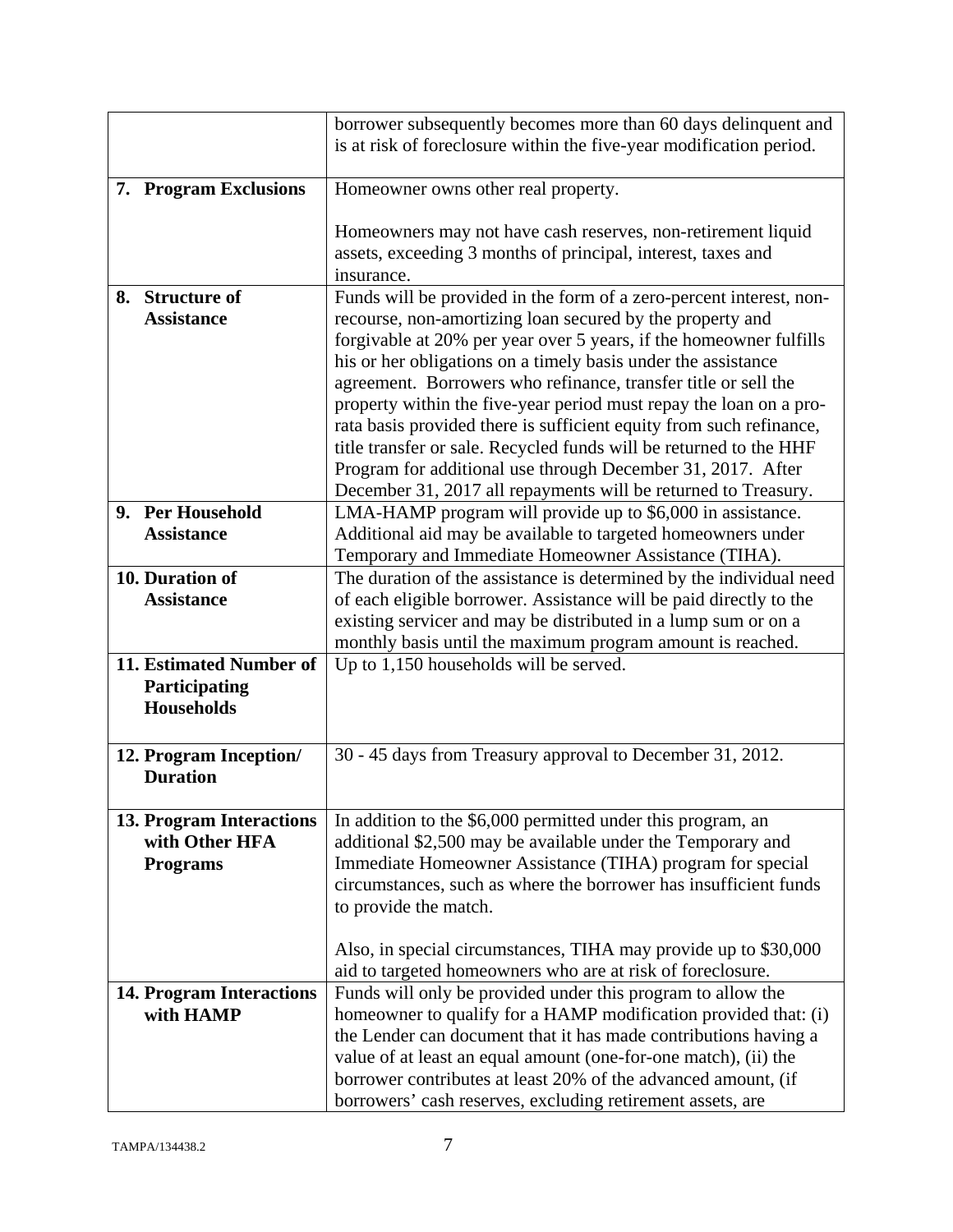|    |                                            | borrower subsequently becomes more than 60 days delinquent and                                                                  |
|----|--------------------------------------------|---------------------------------------------------------------------------------------------------------------------------------|
|    |                                            | is at risk of foreclosure within the five-year modification period.                                                             |
|    | 7. Program Exclusions                      | Homeowner owns other real property.                                                                                             |
|    |                                            | Homeowners may not have cash reserves, non-retirement liquid                                                                    |
|    |                                            | assets, exceeding 3 months of principal, interest, taxes and                                                                    |
|    |                                            | insurance.                                                                                                                      |
| 8. | <b>Structure of</b>                        | Funds will be provided in the form of a zero-percent interest, non-                                                             |
|    | <b>Assistance</b>                          | recourse, non-amortizing loan secured by the property and<br>forgivable at 20% per year over 5 years, if the homeowner fulfills |
|    |                                            | his or her obligations on a timely basis under the assistance                                                                   |
|    |                                            | agreement. Borrowers who refinance, transfer title or sell the                                                                  |
|    |                                            | property within the five-year period must repay the loan on a pro-                                                              |
|    |                                            | rata basis provided there is sufficient equity from such refinance,                                                             |
|    |                                            | title transfer or sale. Recycled funds will be returned to the HHF                                                              |
|    |                                            | Program for additional use through December 31, 2017. After                                                                     |
|    | 9. Per Household                           | December 31, 2017 all repayments will be returned to Treasury.<br>LMA-HAMP program will provide up to \$6,000 in assistance.    |
|    | <b>Assistance</b>                          | Additional aid may be available to targeted homeowners under                                                                    |
|    |                                            | Temporary and Immediate Homeowner Assistance (TIHA).                                                                            |
|    | 10. Duration of                            | The duration of the assistance is determined by the individual need                                                             |
|    | <b>Assistance</b>                          | of each eligible borrower. Assistance will be paid directly to the                                                              |
|    |                                            | existing servicer and may be distributed in a lump sum or on a                                                                  |
|    | 11. Estimated Number of                    | monthly basis until the maximum program amount is reached.<br>Up to 1,150 households will be served.                            |
|    | Participating                              |                                                                                                                                 |
|    | <b>Households</b>                          |                                                                                                                                 |
|    |                                            |                                                                                                                                 |
|    | 12. Program Inception/                     | 30 - 45 days from Treasury approval to December 31, 2012.                                                                       |
|    | <b>Duration</b>                            |                                                                                                                                 |
|    |                                            |                                                                                                                                 |
|    | 13. Program Interactions<br>with Other HFA | In addition to the \$6,000 permitted under this program, an<br>additional \$2,500 may be available under the Temporary and      |
|    | <b>Programs</b>                            | Immediate Homeowner Assistance (TIHA) program for special                                                                       |
|    |                                            | circumstances, such as where the borrower has insufficient funds                                                                |
|    |                                            | to provide the match.                                                                                                           |
|    |                                            |                                                                                                                                 |
|    |                                            | Also, in special circumstances, TIHA may provide up to \$30,000                                                                 |
|    | <b>14. Program Interactions</b>            | aid to targeted homeowners who are at risk of foreclosure.<br>Funds will only be provided under this program to allow the       |
|    | with HAMP                                  | homeowner to qualify for a HAMP modification provided that: (i)                                                                 |
|    |                                            | the Lender can document that it has made contributions having a                                                                 |
|    |                                            | value of at least an equal amount (one-for-one match), (ii) the                                                                 |
|    |                                            | borrower contributes at least 20% of the advanced amount, (if                                                                   |
|    |                                            | borrowers' cash reserves, excluding retirement assets, are                                                                      |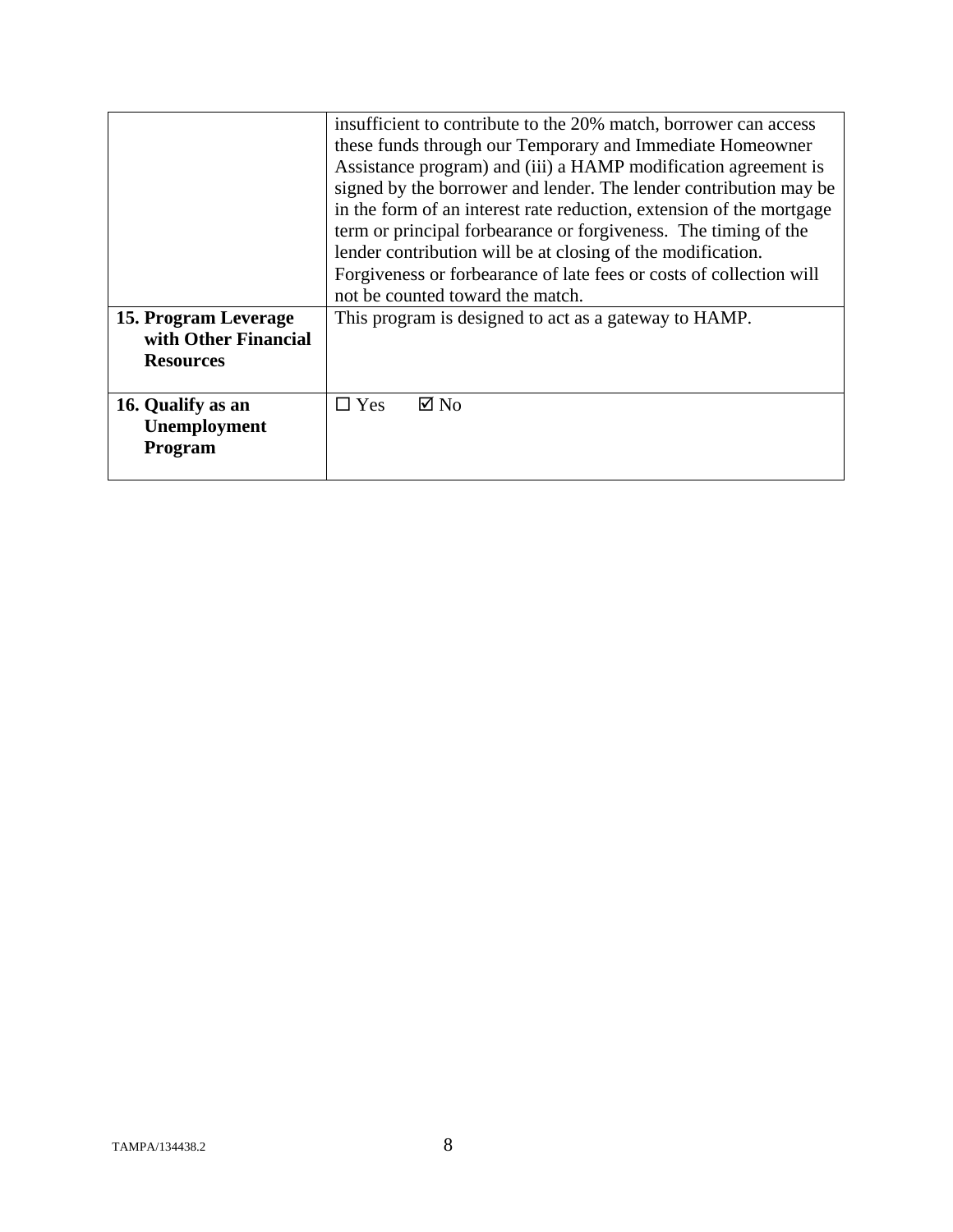|                      | insufficient to contribute to the 20% match, borrower can access     |
|----------------------|----------------------------------------------------------------------|
|                      | these funds through our Temporary and Immediate Homeowner            |
|                      | Assistance program) and (iii) a HAMP modification agreement is       |
|                      | signed by the borrower and lender. The lender contribution may be    |
|                      | in the form of an interest rate reduction, extension of the mortgage |
|                      | term or principal forbearance or forgiveness. The timing of the      |
|                      | lender contribution will be at closing of the modification.          |
|                      | Forgiveness or forbearance of late fees or costs of collection will  |
|                      | not be counted toward the match.                                     |
| 15. Program Leverage | This program is designed to act as a gateway to HAMP.                |
| with Other Financial |                                                                      |
| <b>Resources</b>     |                                                                      |
|                      |                                                                      |
| 16. Qualify as an    | $\boxtimes$ No<br>$\square$ Yes                                      |
| Unemployment         |                                                                      |
| <b>Program</b>       |                                                                      |
|                      |                                                                      |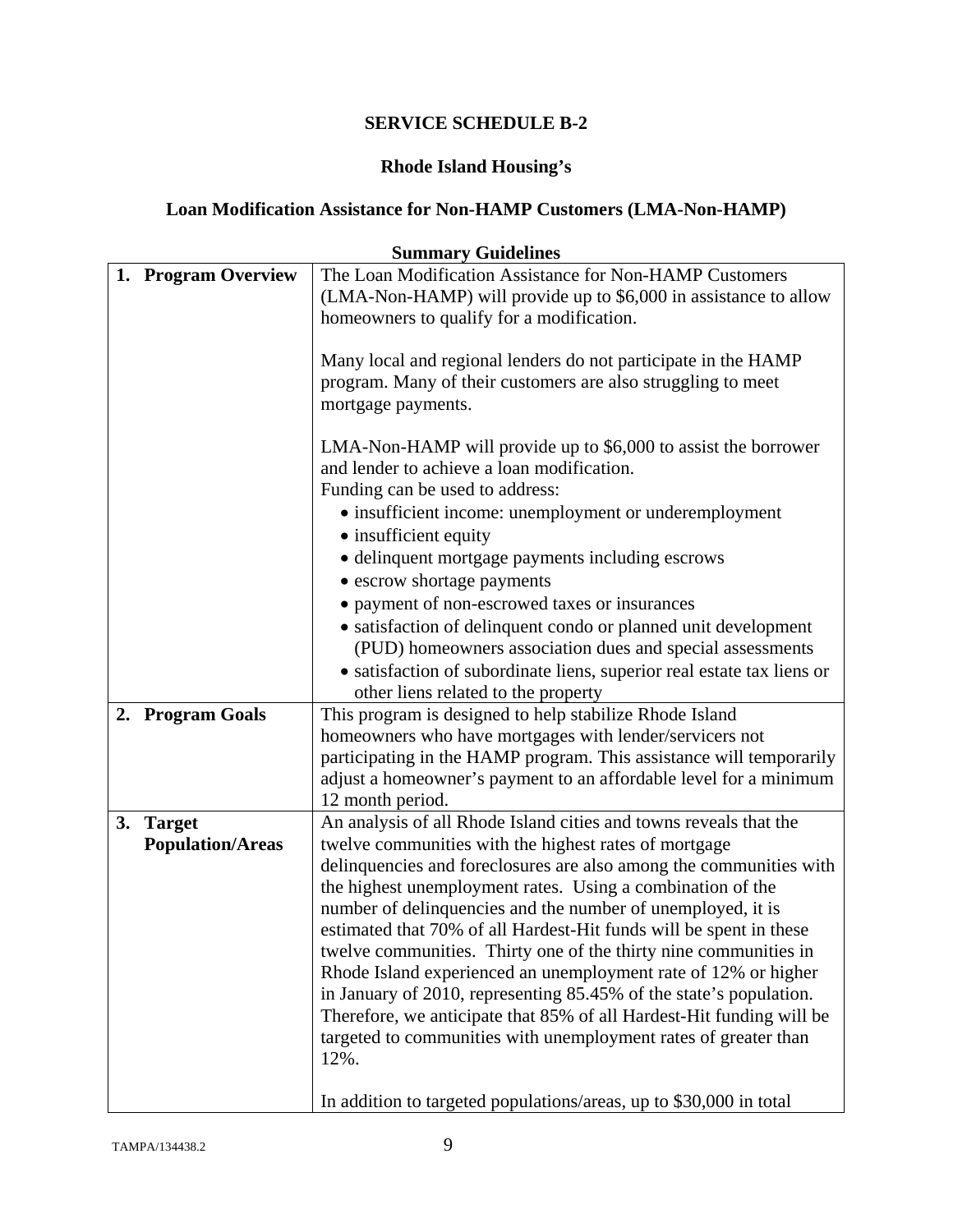# **Rhode Island Housing's**

# **Loan Modification Assistance for Non-HAMP Customers (LMA-Non-HAMP)**

|    | <b>Summary Guidelines</b> |                                                                                                                                            |
|----|---------------------------|--------------------------------------------------------------------------------------------------------------------------------------------|
|    | 1. Program Overview       | The Loan Modification Assistance for Non-HAMP Customers                                                                                    |
|    |                           | (LMA-Non-HAMP) will provide up to \$6,000 in assistance to allow                                                                           |
|    |                           | homeowners to qualify for a modification.                                                                                                  |
|    |                           |                                                                                                                                            |
|    |                           | Many local and regional lenders do not participate in the HAMP                                                                             |
|    |                           | program. Many of their customers are also struggling to meet                                                                               |
|    |                           | mortgage payments.                                                                                                                         |
|    |                           | LMA-Non-HAMP will provide up to \$6,000 to assist the borrower                                                                             |
|    |                           | and lender to achieve a loan modification.                                                                                                 |
|    |                           | Funding can be used to address:                                                                                                            |
|    |                           | • insufficient income: unemployment or underemployment                                                                                     |
|    |                           | • insufficient equity                                                                                                                      |
|    |                           | · delinquent mortgage payments including escrows                                                                                           |
|    |                           | • escrow shortage payments                                                                                                                 |
|    |                           | • payment of non-escrowed taxes or insurances                                                                                              |
|    |                           | • satisfaction of delinquent condo or planned unit development                                                                             |
|    |                           | (PUD) homeowners association dues and special assessments                                                                                  |
|    |                           | • satisfaction of subordinate liens, superior real estate tax liens or                                                                     |
|    |                           | other liens related to the property                                                                                                        |
|    | 2. Program Goals          | This program is designed to help stabilize Rhode Island                                                                                    |
|    |                           | homeowners who have mortgages with lender/servicers not                                                                                    |
|    |                           | participating in the HAMP program. This assistance will temporarily                                                                        |
|    |                           | adjust a homeowner's payment to an affordable level for a minimum                                                                          |
|    |                           | 12 month period.                                                                                                                           |
| 3. | <b>Target</b>             | An analysis of all Rhode Island cities and towns reveals that the                                                                          |
|    | <b>Population/Areas</b>   | twelve communities with the highest rates of mortgage                                                                                      |
|    |                           | delinquencies and foreclosures are also among the communities with                                                                         |
|    |                           | the highest unemployment rates. Using a combination of the                                                                                 |
|    |                           | number of delinquencies and the number of unemployed, it is                                                                                |
|    |                           | estimated that 70% of all Hardest-Hit funds will be spent in these                                                                         |
|    |                           | twelve communities. Thirty one of the thirty nine communities in                                                                           |
|    |                           | Rhode Island experienced an unemployment rate of 12% or higher                                                                             |
|    |                           | in January of 2010, representing 85.45% of the state's population.<br>Therefore, we anticipate that 85% of all Hardest-Hit funding will be |
|    |                           | targeted to communities with unemployment rates of greater than                                                                            |
|    |                           | 12%.                                                                                                                                       |
|    |                           |                                                                                                                                            |
|    |                           | In addition to targeted populations/areas, up to \$30,000 in total                                                                         |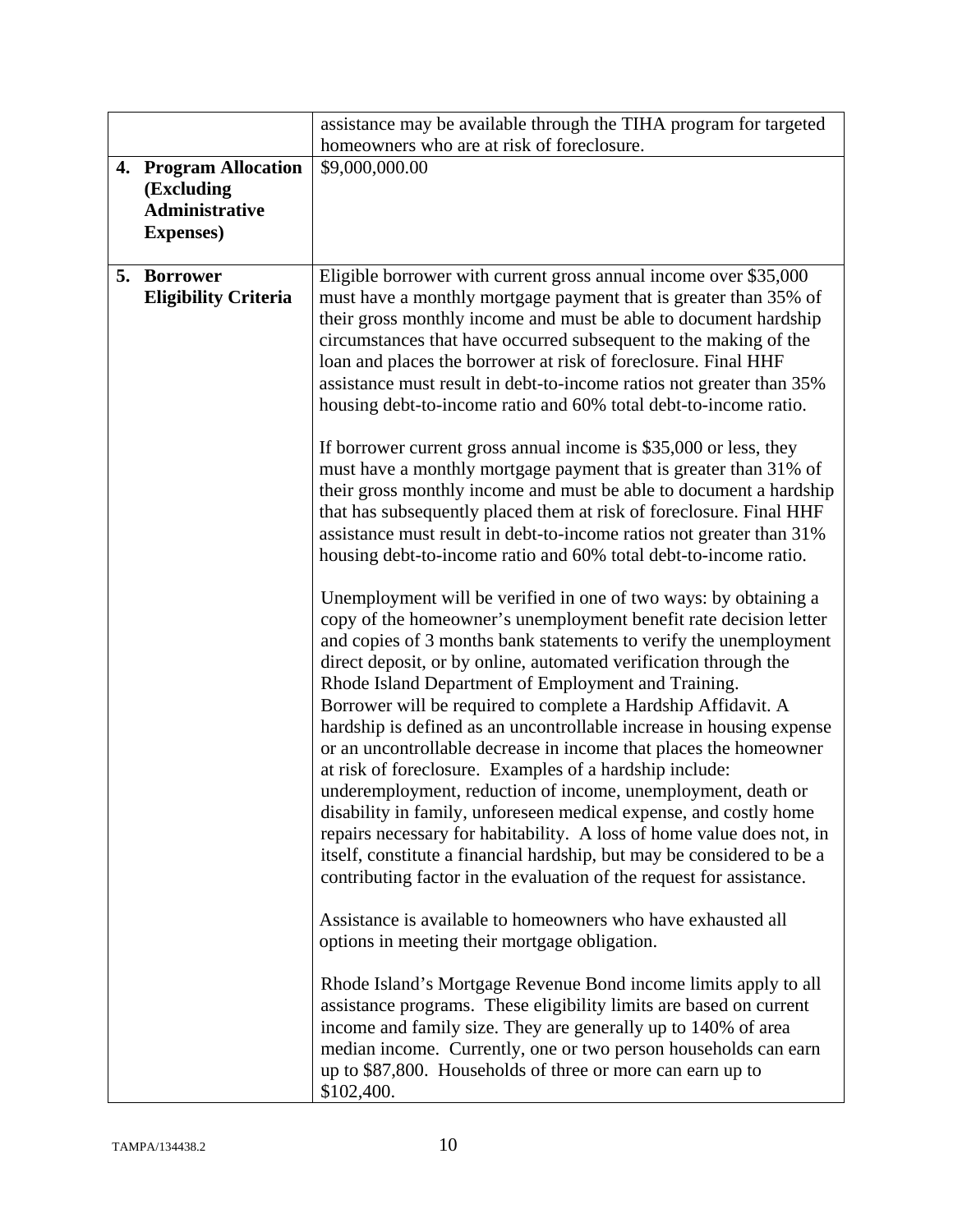|                                                                                   | assistance may be available through the TIHA program for targeted                                                                                                                                                                                                                                                                                                                                                                                                                                                                                                                                                                                                                                                                                                                                                                                                                                                                                                              |
|-----------------------------------------------------------------------------------|--------------------------------------------------------------------------------------------------------------------------------------------------------------------------------------------------------------------------------------------------------------------------------------------------------------------------------------------------------------------------------------------------------------------------------------------------------------------------------------------------------------------------------------------------------------------------------------------------------------------------------------------------------------------------------------------------------------------------------------------------------------------------------------------------------------------------------------------------------------------------------------------------------------------------------------------------------------------------------|
|                                                                                   | homeowners who are at risk of foreclosure.                                                                                                                                                                                                                                                                                                                                                                                                                                                                                                                                                                                                                                                                                                                                                                                                                                                                                                                                     |
| 4. Program Allocation<br>(Excluding<br><b>Administrative</b><br><b>Expenses</b> ) | \$9,000,000.00                                                                                                                                                                                                                                                                                                                                                                                                                                                                                                                                                                                                                                                                                                                                                                                                                                                                                                                                                                 |
| 5. Borrower<br><b>Eligibility Criteria</b>                                        | Eligible borrower with current gross annual income over \$35,000<br>must have a monthly mortgage payment that is greater than 35% of<br>their gross monthly income and must be able to document hardship<br>circumstances that have occurred subsequent to the making of the<br>loan and places the borrower at risk of foreclosure. Final HHF<br>assistance must result in debt-to-income ratios not greater than 35%<br>housing debt-to-income ratio and 60% total debt-to-income ratio.                                                                                                                                                                                                                                                                                                                                                                                                                                                                                     |
|                                                                                   | If borrower current gross annual income is \$35,000 or less, they<br>must have a monthly mortgage payment that is greater than 31% of<br>their gross monthly income and must be able to document a hardship<br>that has subsequently placed them at risk of foreclosure. Final HHF<br>assistance must result in debt-to-income ratios not greater than 31%<br>housing debt-to-income ratio and 60% total debt-to-income ratio.                                                                                                                                                                                                                                                                                                                                                                                                                                                                                                                                                 |
|                                                                                   | Unemployment will be verified in one of two ways: by obtaining a<br>copy of the homeowner's unemployment benefit rate decision letter<br>and copies of 3 months bank statements to verify the unemployment<br>direct deposit, or by online, automated verification through the<br>Rhode Island Department of Employment and Training.<br>Borrower will be required to complete a Hardship Affidavit. A<br>hardship is defined as an uncontrollable increase in housing expense<br>or an uncontrollable decrease in income that places the homeowner<br>at risk of foreclosure. Examples of a hardship include:<br>underemployment, reduction of income, unemployment, death or<br>disability in family, unforeseen medical expense, and costly home<br>repairs necessary for habitability. A loss of home value does not, in<br>itself, constitute a financial hardship, but may be considered to be a<br>contributing factor in the evaluation of the request for assistance. |
|                                                                                   | Assistance is available to homeowners who have exhausted all<br>options in meeting their mortgage obligation.                                                                                                                                                                                                                                                                                                                                                                                                                                                                                                                                                                                                                                                                                                                                                                                                                                                                  |
|                                                                                   | Rhode Island's Mortgage Revenue Bond income limits apply to all<br>assistance programs. These eligibility limits are based on current<br>income and family size. They are generally up to 140% of area<br>median income. Currently, one or two person households can earn<br>up to \$87,800. Households of three or more can earn up to<br>\$102,400.                                                                                                                                                                                                                                                                                                                                                                                                                                                                                                                                                                                                                          |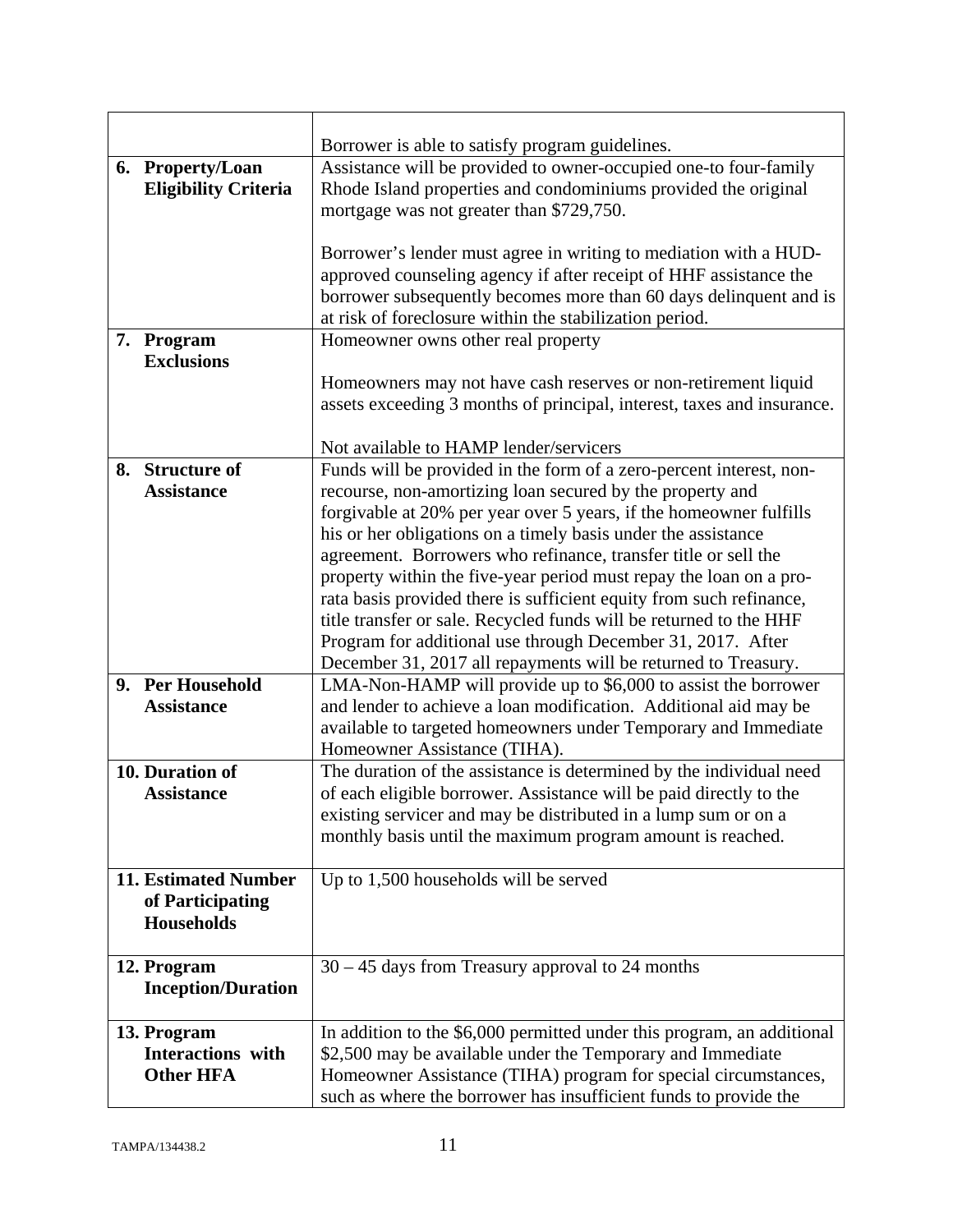|                                 | Borrower is able to satisfy program guidelines.                        |
|---------------------------------|------------------------------------------------------------------------|
| 6. Property/Loan                | Assistance will be provided to owner-occupied one-to four-family       |
| <b>Eligibility Criteria</b>     | Rhode Island properties and condominiums provided the original         |
|                                 | mortgage was not greater than \$729,750.                               |
|                                 |                                                                        |
|                                 | Borrower's lender must agree in writing to mediation with a HUD-       |
|                                 | approved counseling agency if after receipt of HHF assistance the      |
|                                 | borrower subsequently becomes more than 60 days delinquent and is      |
|                                 | at risk of foreclosure within the stabilization period.                |
| 7. Program<br><b>Exclusions</b> | Homeowner owns other real property                                     |
|                                 |                                                                        |
|                                 | Homeowners may not have cash reserves or non-retirement liquid         |
|                                 | assets exceeding 3 months of principal, interest, taxes and insurance. |
|                                 | Not available to HAMP lender/servicers                                 |
| 8. Structure of                 | Funds will be provided in the form of a zero-percent interest, non-    |
| <b>Assistance</b>               | recourse, non-amortizing loan secured by the property and              |
|                                 | forgivable at 20% per year over 5 years, if the homeowner fulfills     |
|                                 | his or her obligations on a timely basis under the assistance          |
|                                 | agreement. Borrowers who refinance, transfer title or sell the         |
|                                 | property within the five-year period must repay the loan on a pro-     |
|                                 | rata basis provided there is sufficient equity from such refinance,    |
|                                 | title transfer or sale. Recycled funds will be returned to the HHF     |
|                                 | Program for additional use through December 31, 2017. After            |
|                                 | December 31, 2017 all repayments will be returned to Treasury.         |
| 9. Per Household                | LMA-Non-HAMP will provide up to \$6,000 to assist the borrower         |
| <b>Assistance</b>               | and lender to achieve a loan modification. Additional aid may be       |
|                                 | available to targeted homeowners under Temporary and Immediate         |
|                                 | Homeowner Assistance (TIHA).                                           |
| 10. Duration of                 | The duration of the assistance is determined by the individual need    |
| <b>Assistance</b>               | of each eligible borrower. Assistance will be paid directly to the     |
|                                 | existing servicer and may be distributed in a lump sum or on a         |
|                                 | monthly basis until the maximum program amount is reached.             |
| <b>11. Estimated Number</b>     | Up to 1,500 households will be served                                  |
| of Participating                |                                                                        |
| <b>Households</b>               |                                                                        |
|                                 |                                                                        |
| 12. Program                     | $30 - 45$ days from Treasury approval to 24 months                     |
| <b>Inception/Duration</b>       |                                                                        |
|                                 |                                                                        |
| 13. Program                     | In addition to the \$6,000 permitted under this program, an additional |
| <b>Interactions</b> with        | \$2,500 may be available under the Temporary and Immediate             |
| <b>Other HFA</b>                | Homeowner Assistance (TIHA) program for special circumstances,         |
|                                 | such as where the borrower has insufficient funds to provide the       |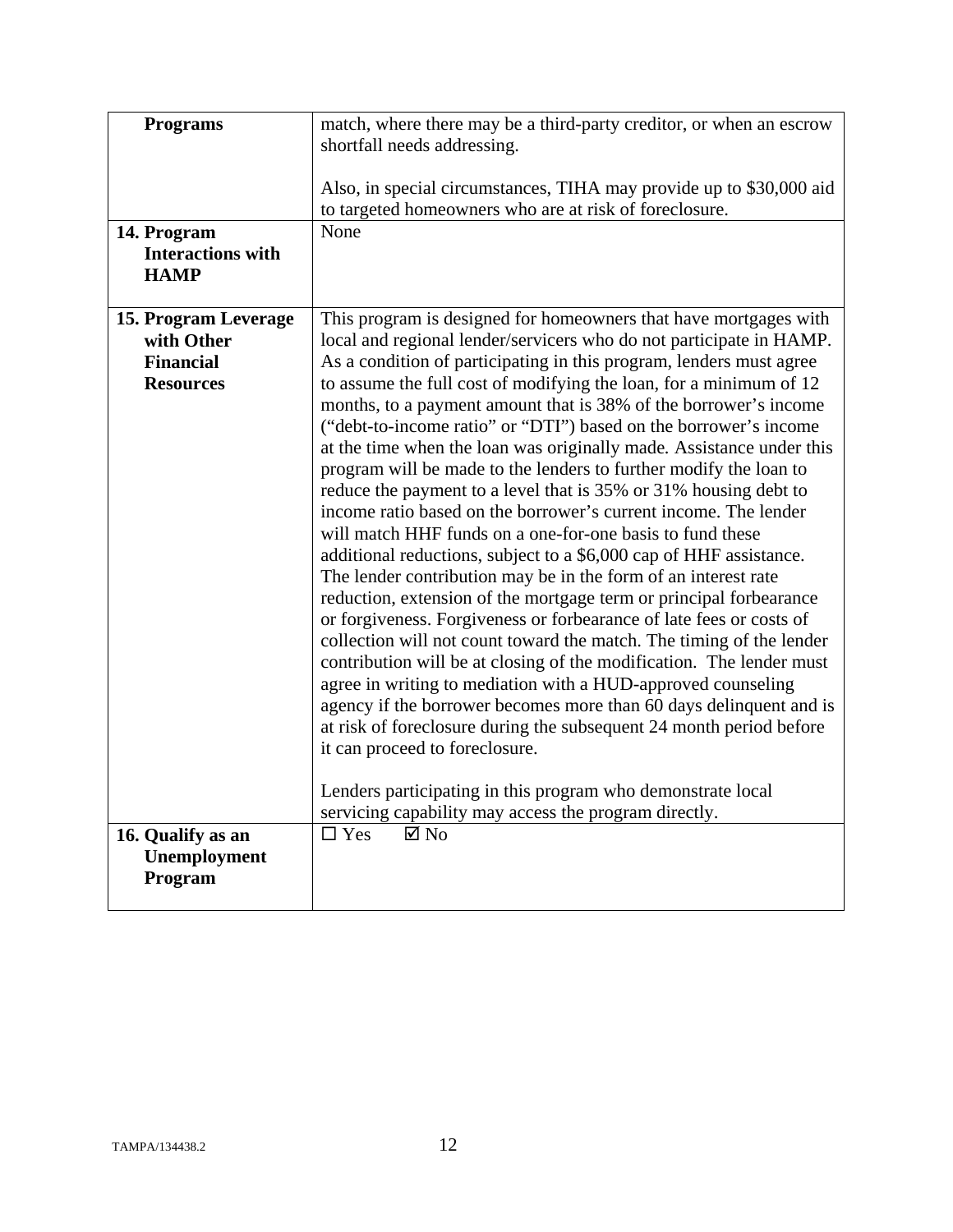| <b>Programs</b><br>14. Program                                             | match, where there may be a third-party creditor, or when an escrow<br>shortfall needs addressing.<br>Also, in special circumstances, TIHA may provide up to \$30,000 aid<br>to targeted homeowners who are at risk of foreclosure.<br>None                                                                                                                                                                                                                                                                                                                                                                                                                                                                                                                                                                                                                                                                                                                                                                                                                                                                                                                                                                                                                                                                                                                                                                                                                                                                                                                                               |
|----------------------------------------------------------------------------|-------------------------------------------------------------------------------------------------------------------------------------------------------------------------------------------------------------------------------------------------------------------------------------------------------------------------------------------------------------------------------------------------------------------------------------------------------------------------------------------------------------------------------------------------------------------------------------------------------------------------------------------------------------------------------------------------------------------------------------------------------------------------------------------------------------------------------------------------------------------------------------------------------------------------------------------------------------------------------------------------------------------------------------------------------------------------------------------------------------------------------------------------------------------------------------------------------------------------------------------------------------------------------------------------------------------------------------------------------------------------------------------------------------------------------------------------------------------------------------------------------------------------------------------------------------------------------------------|
| <b>Interactions with</b><br><b>HAMP</b>                                    |                                                                                                                                                                                                                                                                                                                                                                                                                                                                                                                                                                                                                                                                                                                                                                                                                                                                                                                                                                                                                                                                                                                                                                                                                                                                                                                                                                                                                                                                                                                                                                                           |
| 15. Program Leverage<br>with Other<br><b>Financial</b><br><b>Resources</b> | This program is designed for homeowners that have mortgages with<br>local and regional lender/servicers who do not participate in HAMP.<br>As a condition of participating in this program, lenders must agree<br>to assume the full cost of modifying the loan, for a minimum of 12<br>months, to a payment amount that is 38% of the borrower's income<br>("debt-to-income ratio" or "DTI") based on the borrower's income<br>at the time when the loan was originally made. Assistance under this<br>program will be made to the lenders to further modify the loan to<br>reduce the payment to a level that is 35% or 31% housing debt to<br>income ratio based on the borrower's current income. The lender<br>will match HHF funds on a one-for-one basis to fund these<br>additional reductions, subject to a \$6,000 cap of HHF assistance.<br>The lender contribution may be in the form of an interest rate<br>reduction, extension of the mortgage term or principal forbearance<br>or forgiveness. Forgiveness or forbearance of late fees or costs of<br>collection will not count toward the match. The timing of the lender<br>contribution will be at closing of the modification. The lender must<br>agree in writing to mediation with a HUD-approved counseling<br>agency if the borrower becomes more than 60 days delinquent and is<br>at risk of foreclosure during the subsequent 24 month period before<br>it can proceed to foreclosure.<br>Lenders participating in this program who demonstrate local<br>servicing capability may access the program directly. |
| 16. Qualify as an<br>Unemployment<br>Program                               | $\boxtimes$ No<br>$\Box$ Yes                                                                                                                                                                                                                                                                                                                                                                                                                                                                                                                                                                                                                                                                                                                                                                                                                                                                                                                                                                                                                                                                                                                                                                                                                                                                                                                                                                                                                                                                                                                                                              |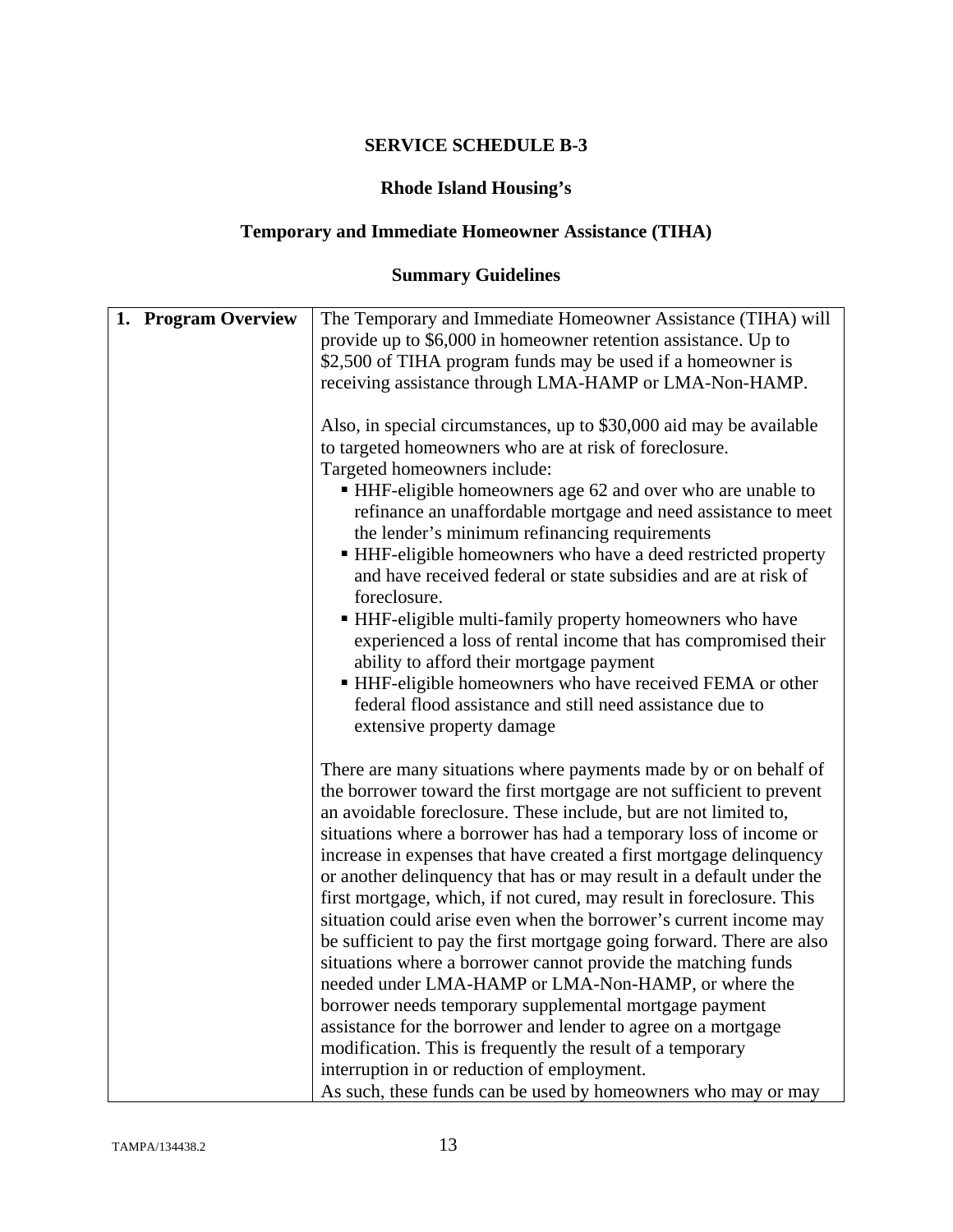## **Rhode Island Housing's**

# **Temporary and Immediate Homeowner Assistance (TIHA)**

# **Summary Guidelines**

| 1. Program Overview | The Temporary and Immediate Homeowner Assistance (TIHA) will          |
|---------------------|-----------------------------------------------------------------------|
|                     | provide up to \$6,000 in homeowner retention assistance. Up to        |
|                     | \$2,500 of TIHA program funds may be used if a homeowner is           |
|                     | receiving assistance through LMA-HAMP or LMA-Non-HAMP.                |
|                     |                                                                       |
|                     | Also, in special circumstances, up to \$30,000 aid may be available   |
|                     | to targeted homeowners who are at risk of foreclosure.                |
|                     | Targeted homeowners include:                                          |
|                     | ■ HHF-eligible homeowners age 62 and over who are unable to           |
|                     | refinance an unaffordable mortgage and need assistance to meet        |
|                     | the lender's minimum refinancing requirements                         |
|                     | HHF-eligible homeowners who have a deed restricted property           |
|                     | and have received federal or state subsidies and are at risk of       |
|                     | foreclosure.                                                          |
|                     | • HHF-eligible multi-family property homeowners who have              |
|                     | experienced a loss of rental income that has compromised their        |
|                     | ability to afford their mortgage payment                              |
|                     | HHF-eligible homeowners who have received FEMA or other               |
|                     | federal flood assistance and still need assistance due to             |
|                     | extensive property damage                                             |
|                     |                                                                       |
|                     | There are many situations where payments made by or on behalf of      |
|                     | the borrower toward the first mortgage are not sufficient to prevent  |
|                     | an avoidable foreclosure. These include, but are not limited to,      |
|                     | situations where a borrower has had a temporary loss of income or     |
|                     | increase in expenses that have created a first mortgage delinquency   |
|                     | or another delinquency that has or may result in a default under the  |
|                     | first mortgage, which, if not cured, may result in foreclosure. This  |
|                     | situation could arise even when the borrower's current income may     |
|                     | be sufficient to pay the first mortgage going forward. There are also |
|                     | situations where a borrower cannot provide the matching funds         |
|                     | needed under LMA-HAMP or LMA-Non-HAMP, or where the                   |
|                     | borrower needs temporary supplemental mortgage payment                |
|                     |                                                                       |
|                     | assistance for the borrower and lender to agree on a mortgage         |
|                     | modification. This is frequently the result of a temporary            |
|                     | interruption in or reduction of employment.                           |
|                     | As such, these funds can be used by homeowners who may or may         |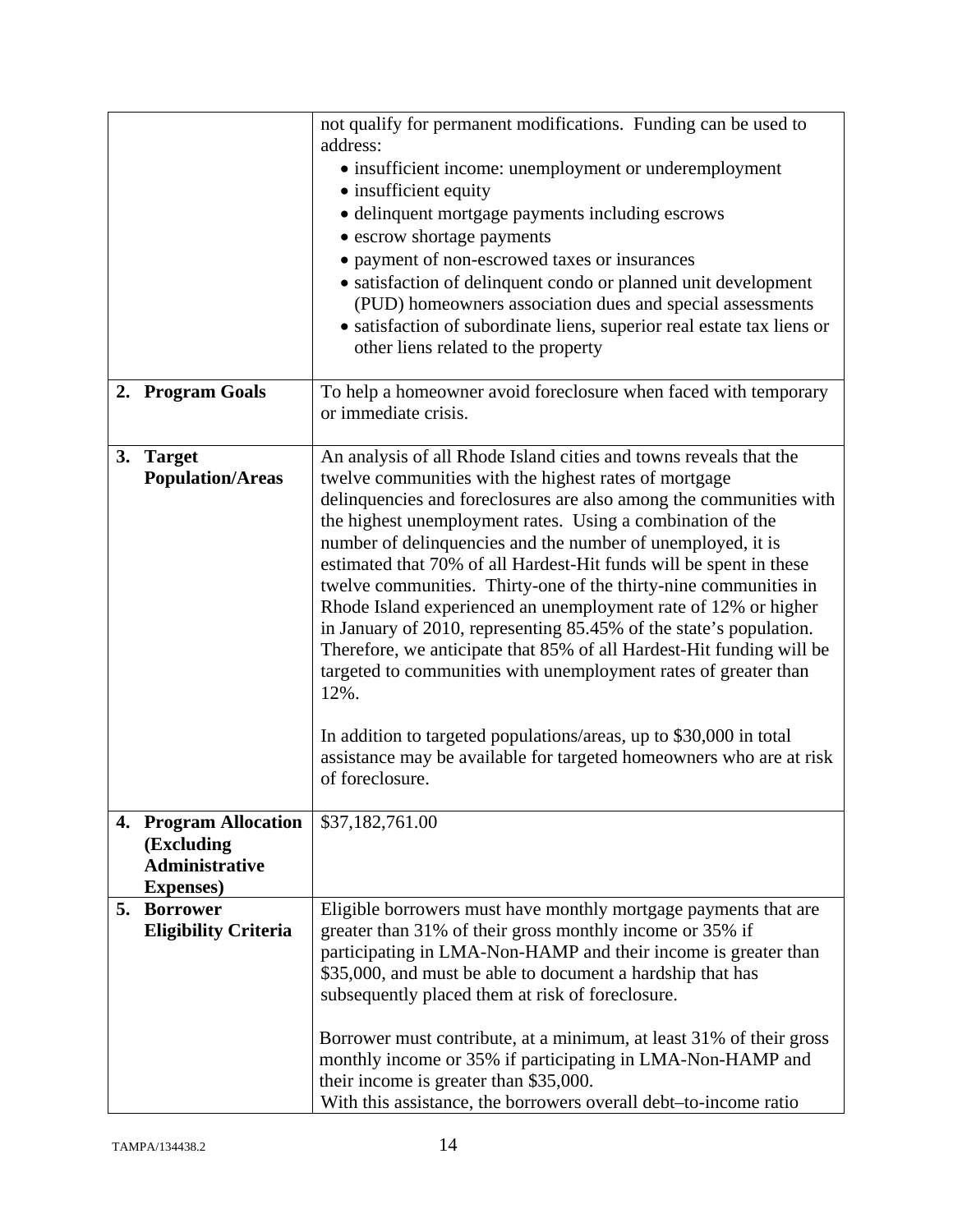|    |                                                                                   | not qualify for permanent modifications. Funding can be used to<br>address:<br>• insufficient income: unemployment or underemployment<br>• insufficient equity<br>· delinquent mortgage payments including escrows<br>• escrow shortage payments<br>• payment of non-escrowed taxes or insurances<br>• satisfaction of delinquent condo or planned unit development<br>(PUD) homeowners association dues and special assessments<br>• satisfaction of subordinate liens, superior real estate tax liens or<br>other liens related to the property                                                                                                                                                                                                                                                                                                                                                                                  |
|----|-----------------------------------------------------------------------------------|------------------------------------------------------------------------------------------------------------------------------------------------------------------------------------------------------------------------------------------------------------------------------------------------------------------------------------------------------------------------------------------------------------------------------------------------------------------------------------------------------------------------------------------------------------------------------------------------------------------------------------------------------------------------------------------------------------------------------------------------------------------------------------------------------------------------------------------------------------------------------------------------------------------------------------|
|    | 2. Program Goals                                                                  | To help a homeowner avoid foreclosure when faced with temporary<br>or immediate crisis.                                                                                                                                                                                                                                                                                                                                                                                                                                                                                                                                                                                                                                                                                                                                                                                                                                            |
| 3. | <b>Target</b><br><b>Population/Areas</b>                                          | An analysis of all Rhode Island cities and towns reveals that the<br>twelve communities with the highest rates of mortgage<br>delinquencies and foreclosures are also among the communities with<br>the highest unemployment rates. Using a combination of the<br>number of delinquencies and the number of unemployed, it is<br>estimated that 70% of all Hardest-Hit funds will be spent in these<br>twelve communities. Thirty-one of the thirty-nine communities in<br>Rhode Island experienced an unemployment rate of 12% or higher<br>in January of 2010, representing 85.45% of the state's population.<br>Therefore, we anticipate that 85% of all Hardest-Hit funding will be<br>targeted to communities with unemployment rates of greater than<br>12%.<br>In addition to targeted populations/areas, up to \$30,000 in total<br>assistance may be available for targeted homeowners who are at risk<br>of foreclosure. |
|    | 4. Program Allocation<br>(Excluding<br><b>Administrative</b><br><b>Expenses</b> ) | \$37,182,761.00                                                                                                                                                                                                                                                                                                                                                                                                                                                                                                                                                                                                                                                                                                                                                                                                                                                                                                                    |
|    | 5. Borrower<br><b>Eligibility Criteria</b>                                        | Eligible borrowers must have monthly mortgage payments that are<br>greater than 31% of their gross monthly income or 35% if<br>participating in LMA-Non-HAMP and their income is greater than<br>\$35,000, and must be able to document a hardship that has<br>subsequently placed them at risk of foreclosure.<br>Borrower must contribute, at a minimum, at least 31% of their gross<br>monthly income or 35% if participating in LMA-Non-HAMP and<br>their income is greater than \$35,000.<br>With this assistance, the borrowers overall debt-to-income ratio                                                                                                                                                                                                                                                                                                                                                                 |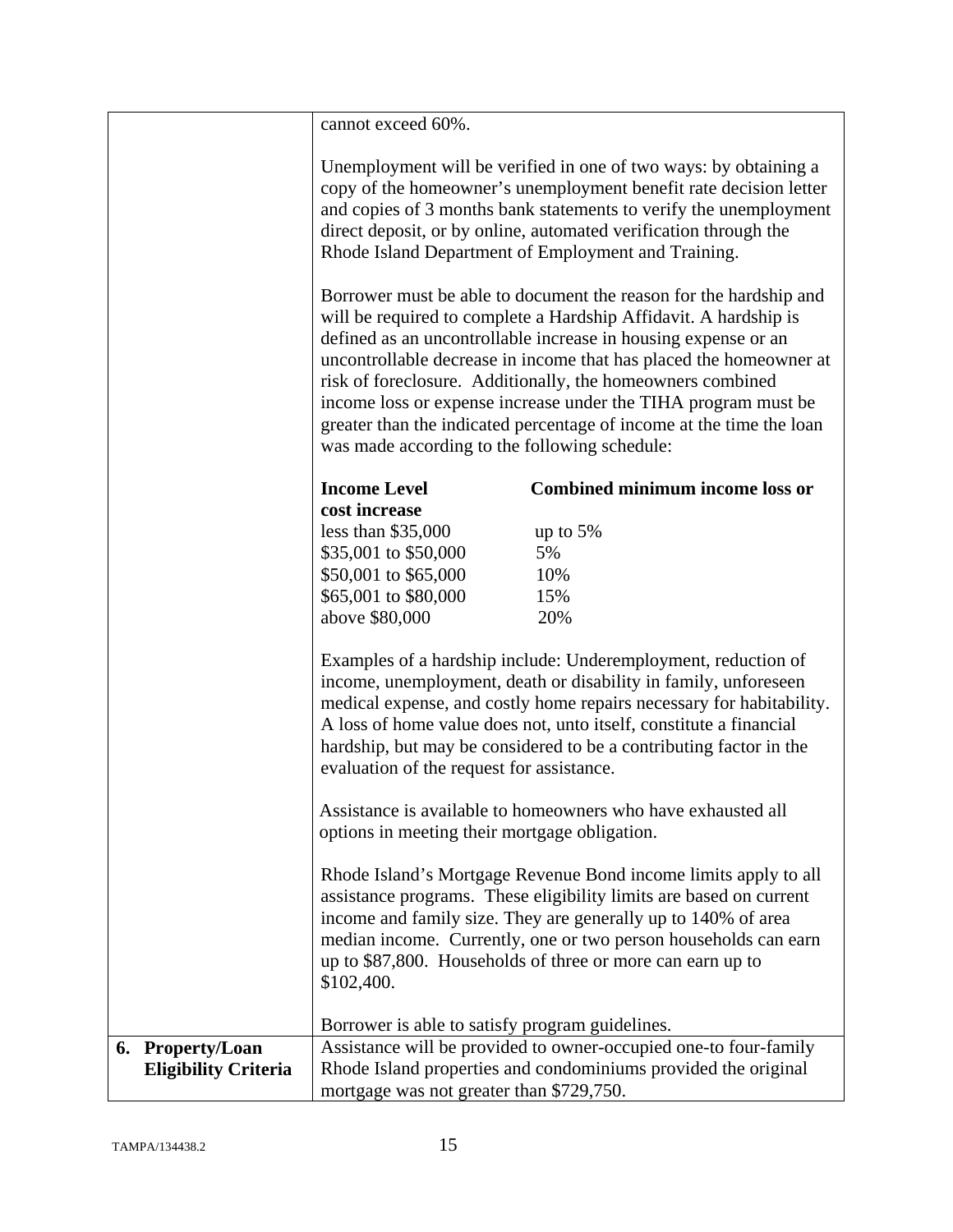|                             | cannot exceed 60%.                              |                                                                                                                                                                                                                                                                                                                                                                                                                                                                                       |
|-----------------------------|-------------------------------------------------|---------------------------------------------------------------------------------------------------------------------------------------------------------------------------------------------------------------------------------------------------------------------------------------------------------------------------------------------------------------------------------------------------------------------------------------------------------------------------------------|
|                             |                                                 | Unemployment will be verified in one of two ways: by obtaining a<br>copy of the homeowner's unemployment benefit rate decision letter<br>and copies of 3 months bank statements to verify the unemployment<br>direct deposit, or by online, automated verification through the<br>Rhode Island Department of Employment and Training.                                                                                                                                                 |
|                             | was made according to the following schedule:   | Borrower must be able to document the reason for the hardship and<br>will be required to complete a Hardship Affidavit. A hardship is<br>defined as an uncontrollable increase in housing expense or an<br>uncontrollable decrease in income that has placed the homeowner at<br>risk of foreclosure. Additionally, the homeowners combined<br>income loss or expense increase under the TIHA program must be<br>greater than the indicated percentage of income at the time the loan |
|                             | <b>Income Level</b>                             | <b>Combined minimum income loss or</b>                                                                                                                                                                                                                                                                                                                                                                                                                                                |
|                             | cost increase<br>less than $$35,000$            | up to 5%                                                                                                                                                                                                                                                                                                                                                                                                                                                                              |
|                             | \$35,001 to \$50,000                            | 5%                                                                                                                                                                                                                                                                                                                                                                                                                                                                                    |
|                             | \$50,001 to \$65,000                            | 10%                                                                                                                                                                                                                                                                                                                                                                                                                                                                                   |
|                             | \$65,001 to \$80,000                            | 15%                                                                                                                                                                                                                                                                                                                                                                                                                                                                                   |
|                             | above \$80,000                                  | 20%                                                                                                                                                                                                                                                                                                                                                                                                                                                                                   |
|                             | evaluation of the request for assistance.       | Examples of a hardship include: Underemployment, reduction of<br>income, unemployment, death or disability in family, unforeseen<br>medical expense, and costly home repairs necessary for habitability.<br>A loss of home value does not, unto itself, constitute a financial<br>hardship, but may be considered to be a contributing factor in the                                                                                                                                  |
|                             | options in meeting their mortgage obligation.   | Assistance is available to homeowners who have exhausted all                                                                                                                                                                                                                                                                                                                                                                                                                          |
|                             | \$102,400.                                      | Rhode Island's Mortgage Revenue Bond income limits apply to all<br>assistance programs. These eligibility limits are based on current<br>income and family size. They are generally up to 140% of area<br>median income. Currently, one or two person households can earn<br>up to \$87,800. Households of three or more can earn up to                                                                                                                                               |
|                             | Borrower is able to satisfy program guidelines. |                                                                                                                                                                                                                                                                                                                                                                                                                                                                                       |
| 6. Property/Loan            |                                                 | Assistance will be provided to owner-occupied one-to four-family                                                                                                                                                                                                                                                                                                                                                                                                                      |
| <b>Eligibility Criteria</b> |                                                 | Rhode Island properties and condominiums provided the original                                                                                                                                                                                                                                                                                                                                                                                                                        |
|                             | mortgage was not greater than \$729,750.        |                                                                                                                                                                                                                                                                                                                                                                                                                                                                                       |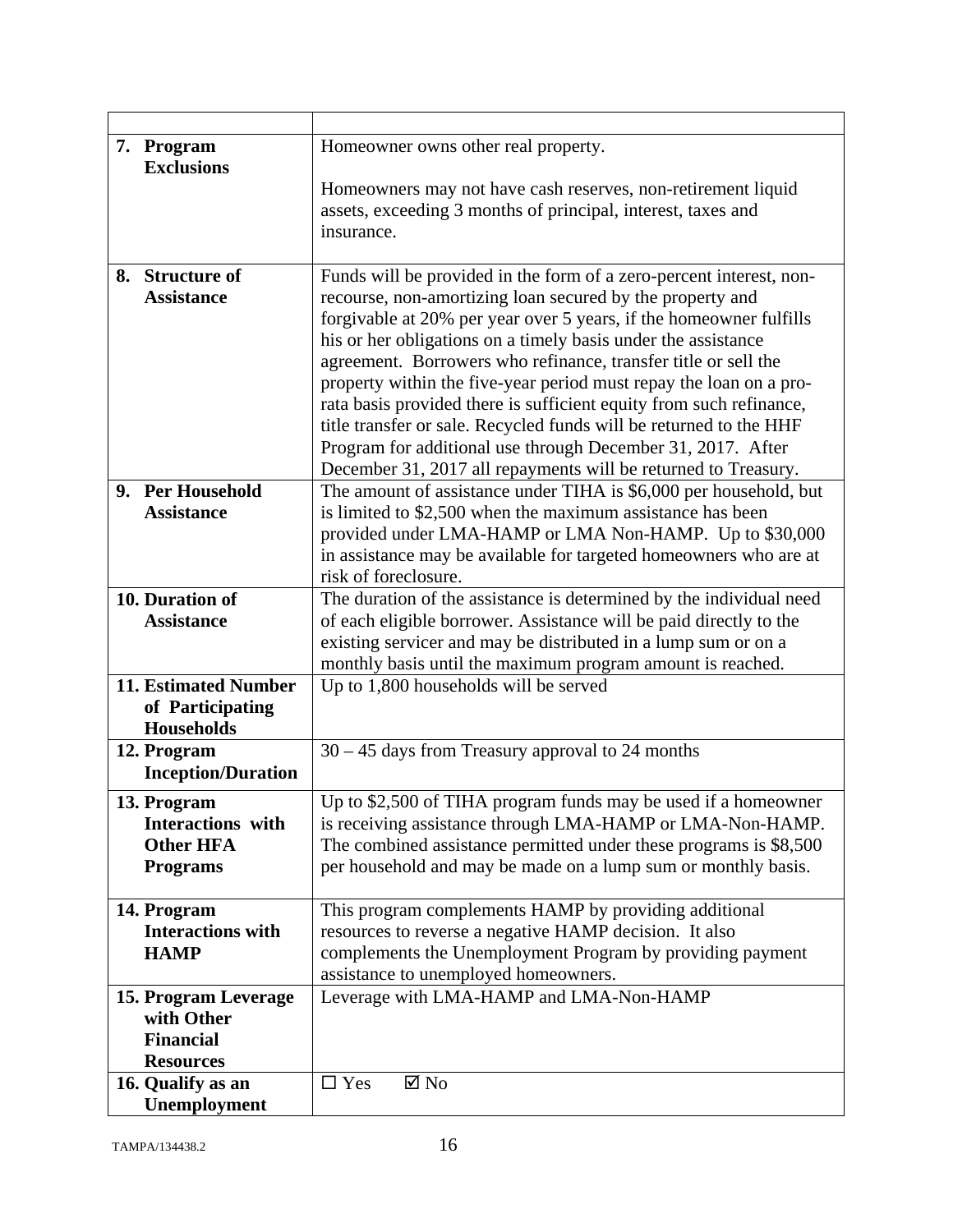| 7. Program                  | Homeowner owns other real property.                                 |
|-----------------------------|---------------------------------------------------------------------|
| <b>Exclusions</b>           |                                                                     |
|                             | Homeowners may not have cash reserves, non-retirement liquid        |
|                             | assets, exceeding 3 months of principal, interest, taxes and        |
|                             | insurance.                                                          |
|                             |                                                                     |
| <b>Structure of</b><br>8.   | Funds will be provided in the form of a zero-percent interest, non- |
| <b>Assistance</b>           | recourse, non-amortizing loan secured by the property and           |
|                             | forgivable at 20% per year over 5 years, if the homeowner fulfills  |
|                             | his or her obligations on a timely basis under the assistance       |
|                             | agreement. Borrowers who refinance, transfer title or sell the      |
|                             | property within the five-year period must repay the loan on a pro-  |
|                             | rata basis provided there is sufficient equity from such refinance, |
|                             | title transfer or sale. Recycled funds will be returned to the HHF  |
|                             | Program for additional use through December 31, 2017. After         |
|                             | December 31, 2017 all repayments will be returned to Treasury.      |
| 9. Per Household            | The amount of assistance under TIHA is \$6,000 per household, but   |
| <b>Assistance</b>           | is limited to \$2,500 when the maximum assistance has been          |
|                             |                                                                     |
|                             | provided under LMA-HAMP or LMA Non-HAMP. Up to \$30,000             |
|                             | in assistance may be available for targeted homeowners who are at   |
|                             | risk of foreclosure.                                                |
| 10. Duration of             | The duration of the assistance is determined by the individual need |
| <b>Assistance</b>           | of each eligible borrower. Assistance will be paid directly to the  |
|                             | existing servicer and may be distributed in a lump sum or on a      |
|                             | monthly basis until the maximum program amount is reached.          |
| <b>11. Estimated Number</b> | Up to 1,800 households will be served                               |
| of Participating            |                                                                     |
| <b>Households</b>           |                                                                     |
| 12. Program                 | $30 - 45$ days from Treasury approval to 24 months                  |
| <b>Inception/Duration</b>   |                                                                     |
| 13. Program                 | Up to \$2,500 of TIHA program funds may be used if a homeowner      |
| <b>Interactions</b> with    | is receiving assistance through LMA-HAMP or LMA-Non-HAMP.           |
| <b>Other HFA</b>            | The combined assistance permitted under these programs is \$8,500   |
| <b>Programs</b>             | per household and may be made on a lump sum or monthly basis.       |
|                             |                                                                     |
| 14. Program                 | This program complements HAMP by providing additional               |
| <b>Interactions with</b>    | resources to reverse a negative HAMP decision. It also              |
| <b>HAMP</b>                 | complements the Unemployment Program by providing payment           |
|                             | assistance to unemployed homeowners.                                |
| 15. Program Leverage        | Leverage with LMA-HAMP and LMA-Non-HAMP                             |
| with Other                  |                                                                     |
| <b>Financial</b>            |                                                                     |
| <b>Resources</b>            |                                                                     |
| 16. Qualify as an           | $\square$ Yes<br>$\boxtimes$ No                                     |
| Unemployment                |                                                                     |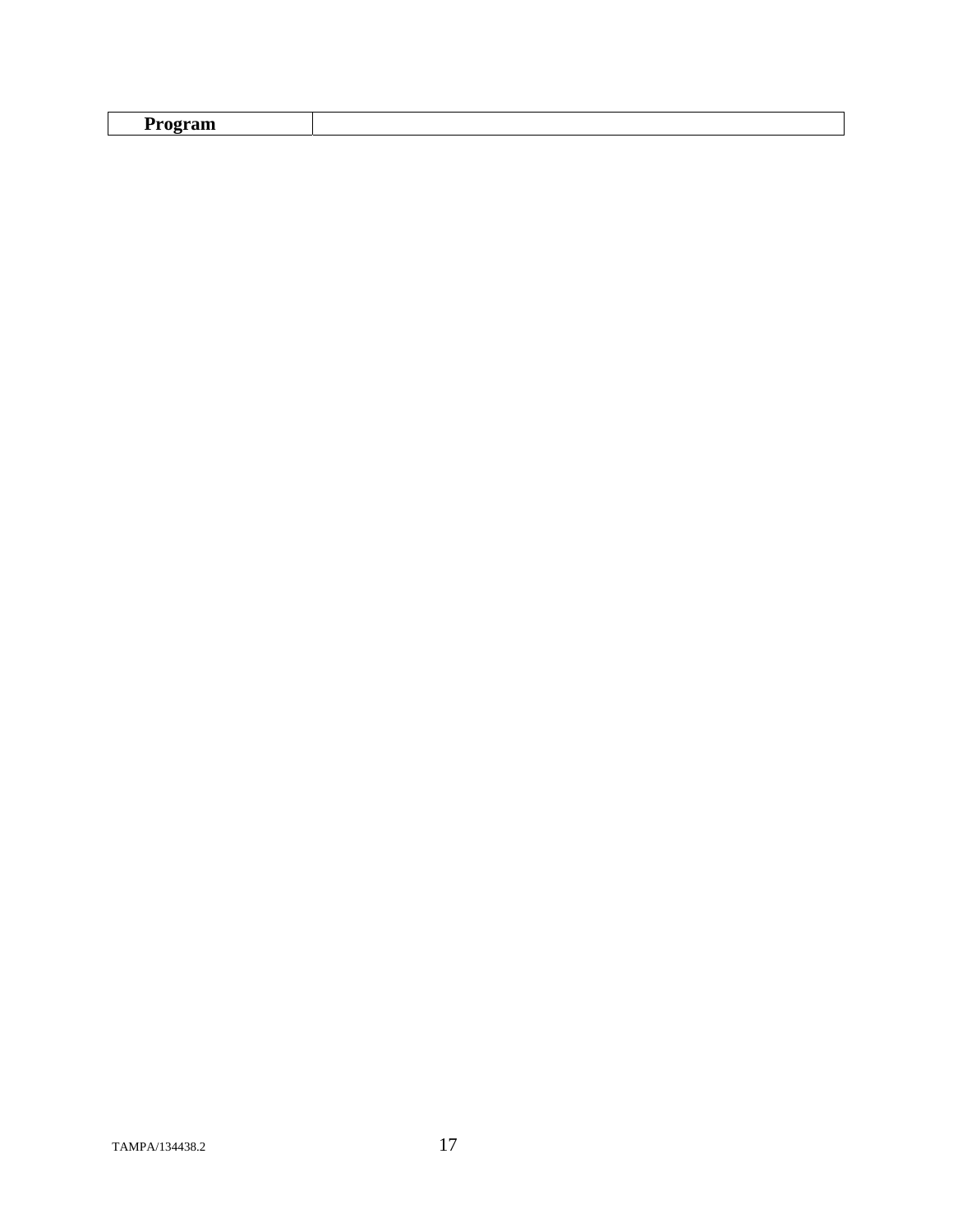| –<br>$ -$ |  |
|-----------|--|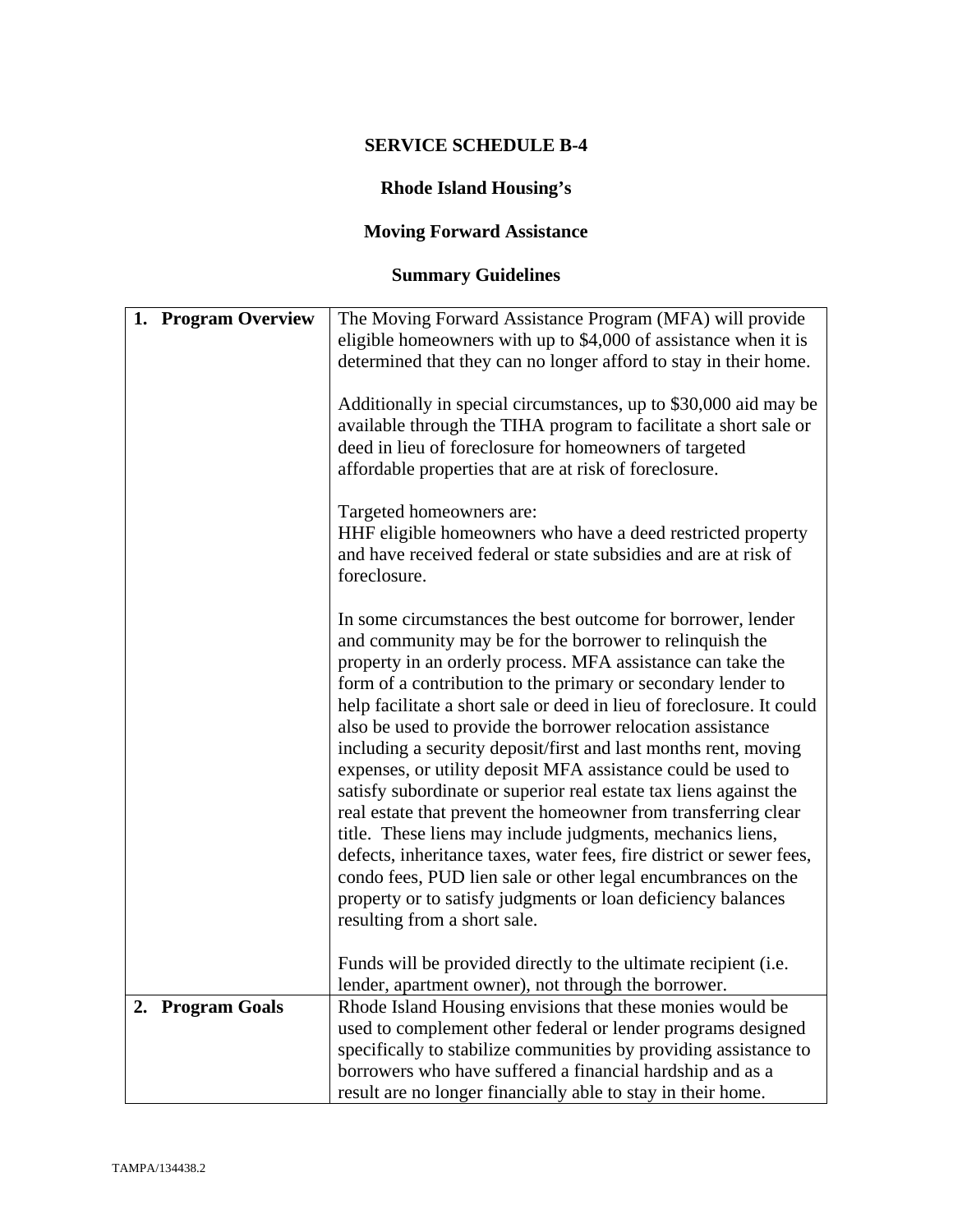# **Rhode Island Housing's**

# **Moving Forward Assistance**

# **Summary Guidelines**

| 1. Program Overview | The Moving Forward Assistance Program (MFA) will provide              |
|---------------------|-----------------------------------------------------------------------|
|                     | eligible homeowners with up to \$4,000 of assistance when it is       |
|                     | determined that they can no longer afford to stay in their home.      |
|                     |                                                                       |
|                     | Additionally in special circumstances, up to \$30,000 aid may be      |
|                     | available through the TIHA program to facilitate a short sale or      |
|                     | deed in lieu of foreclosure for homeowners of targeted                |
|                     | affordable properties that are at risk of foreclosure.                |
|                     |                                                                       |
|                     | Targeted homeowners are:                                              |
|                     |                                                                       |
|                     | HHF eligible homeowners who have a deed restricted property           |
|                     | and have received federal or state subsidies and are at risk of       |
|                     | foreclosure.                                                          |
|                     |                                                                       |
|                     | In some circumstances the best outcome for borrower, lender           |
|                     | and community may be for the borrower to relinquish the               |
|                     | property in an orderly process. MFA assistance can take the           |
|                     |                                                                       |
|                     | form of a contribution to the primary or secondary lender to          |
|                     | help facilitate a short sale or deed in lieu of foreclosure. It could |
|                     | also be used to provide the borrower relocation assistance            |
|                     | including a security deposit/first and last months rent, moving       |
|                     | expenses, or utility deposit MFA assistance could be used to          |
|                     | satisfy subordinate or superior real estate tax liens against the     |
|                     |                                                                       |
|                     | real estate that prevent the homeowner from transferring clear        |
|                     | title. These liens may include judgments, mechanics liens,            |
|                     | defects, inheritance taxes, water fees, fire district or sewer fees,  |
|                     | condo fees, PUD lien sale or other legal encumbrances on the          |
|                     | property or to satisfy judgments or loan deficiency balances          |
|                     |                                                                       |
|                     | resulting from a short sale.                                          |
|                     |                                                                       |
|                     | Funds will be provided directly to the ultimate recipient (i.e.       |
|                     | lender, apartment owner), not through the borrower.                   |
| 2. Program Goals    | Rhode Island Housing envisions that these monies would be             |
|                     | used to complement other federal or lender programs designed          |
|                     | specifically to stabilize communities by providing assistance to      |
|                     | borrowers who have suffered a financial hardship and as a             |
|                     | result are no longer financially able to stay in their home.          |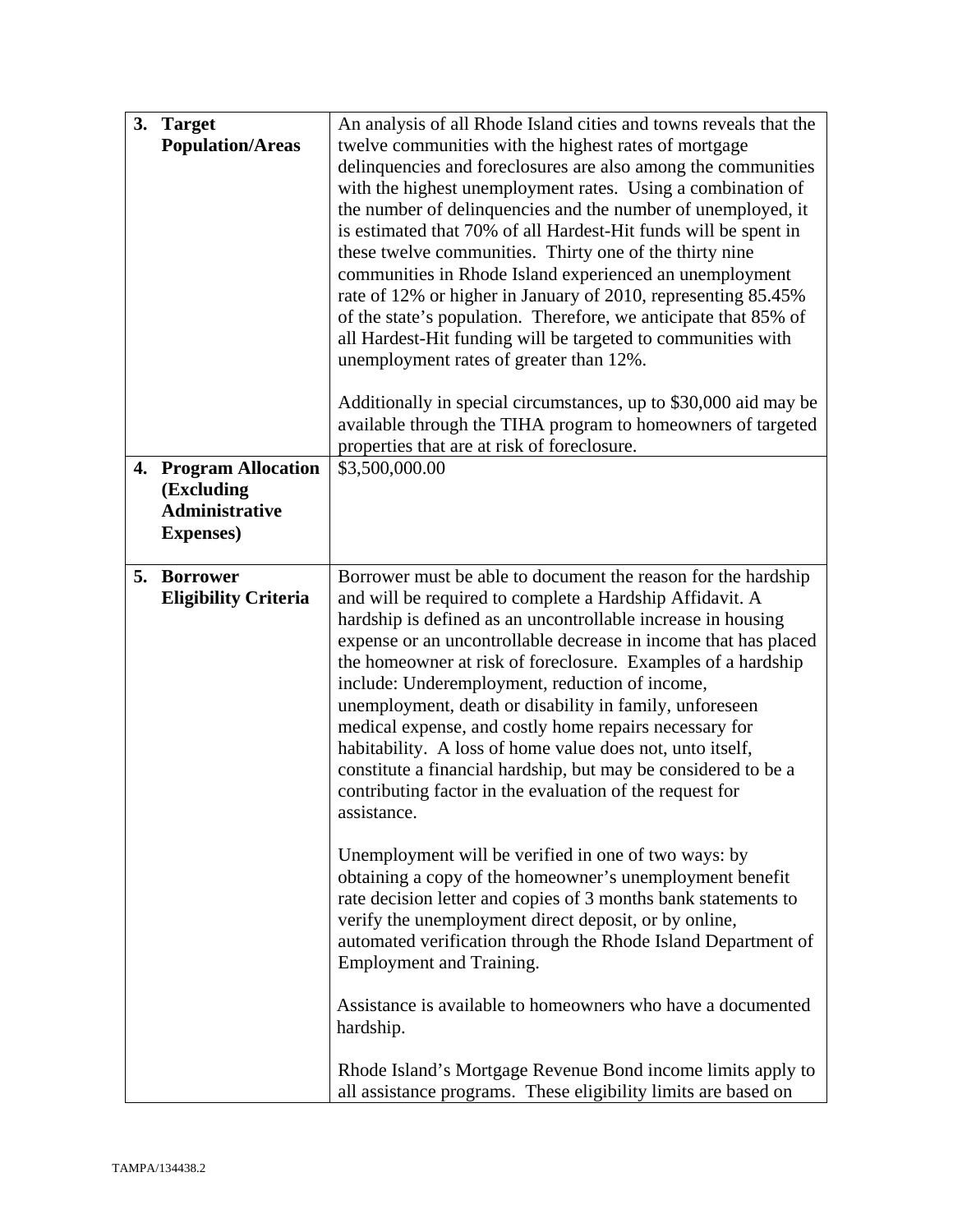| 3. | <b>Target</b><br><b>Population/Areas</b>                                              | An analysis of all Rhode Island cities and towns reveals that the<br>twelve communities with the highest rates of mortgage<br>delinquencies and foreclosures are also among the communities<br>with the highest unemployment rates. Using a combination of<br>the number of delinquencies and the number of unemployed, it<br>is estimated that 70% of all Hardest-Hit funds will be spent in<br>these twelve communities. Thirty one of the thirty nine<br>communities in Rhode Island experienced an unemployment<br>rate of 12% or higher in January of 2010, representing 85.45%<br>of the state's population. Therefore, we anticipate that 85% of<br>all Hardest-Hit funding will be targeted to communities with<br>unemployment rates of greater than 12%.<br>Additionally in special circumstances, up to \$30,000 aid may be<br>available through the TIHA program to homeowners of targeted<br>properties that are at risk of foreclosure.                                                                                                                                                                                                                                                                                                                         |
|----|---------------------------------------------------------------------------------------|-------------------------------------------------------------------------------------------------------------------------------------------------------------------------------------------------------------------------------------------------------------------------------------------------------------------------------------------------------------------------------------------------------------------------------------------------------------------------------------------------------------------------------------------------------------------------------------------------------------------------------------------------------------------------------------------------------------------------------------------------------------------------------------------------------------------------------------------------------------------------------------------------------------------------------------------------------------------------------------------------------------------------------------------------------------------------------------------------------------------------------------------------------------------------------------------------------------------------------------------------------------------------------|
| 4. | <b>Program Allocation</b><br>(Excluding<br><b>Administrative</b><br><b>Expenses</b> ) | \$3,500,000.00                                                                                                                                                                                                                                                                                                                                                                                                                                                                                                                                                                                                                                                                                                                                                                                                                                                                                                                                                                                                                                                                                                                                                                                                                                                                |
| 5. | <b>Borrower</b><br><b>Eligibility Criteria</b>                                        | Borrower must be able to document the reason for the hardship<br>and will be required to complete a Hardship Affidavit. A<br>hardship is defined as an uncontrollable increase in housing<br>expense or an uncontrollable decrease in income that has placed<br>the homeowner at risk of foreclosure. Examples of a hardship<br>include: Underemployment, reduction of income,<br>unemployment, death or disability in family, unforeseen<br>medical expense, and costly home repairs necessary for<br>habitability. A loss of home value does not, unto itself,<br>constitute a financial hardship, but may be considered to be a<br>contributing factor in the evaluation of the request for<br>assistance.<br>Unemployment will be verified in one of two ways: by<br>obtaining a copy of the homeowner's unemployment benefit<br>rate decision letter and copies of 3 months bank statements to<br>verify the unemployment direct deposit, or by online,<br>automated verification through the Rhode Island Department of<br><b>Employment and Training.</b><br>Assistance is available to homeowners who have a documented<br>hardship.<br>Rhode Island's Mortgage Revenue Bond income limits apply to<br>all assistance programs. These eligibility limits are based on |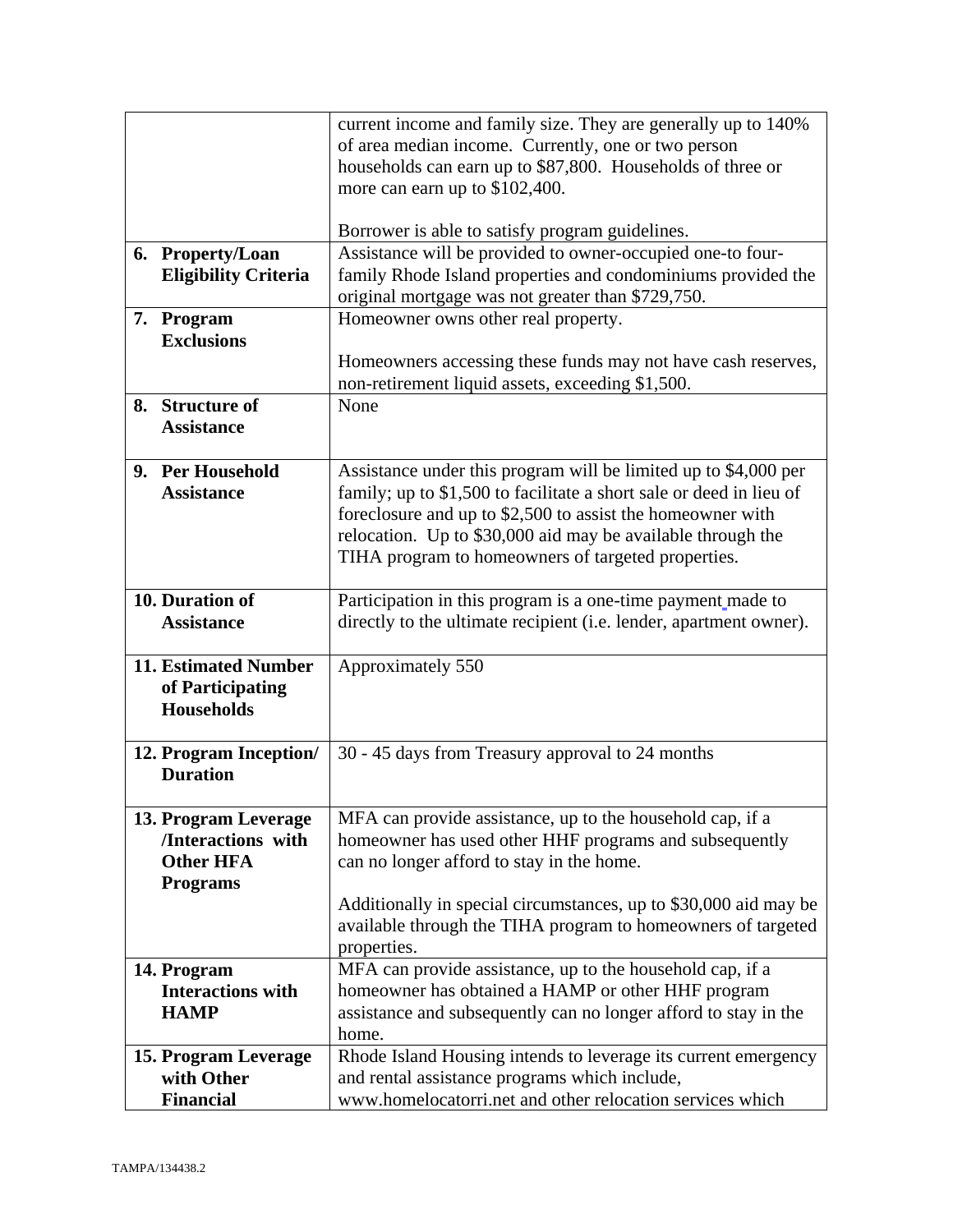|                             | current income and family size. They are generally up to 140%       |
|-----------------------------|---------------------------------------------------------------------|
|                             | of area median income. Currently, one or two person                 |
|                             | households can earn up to \$87,800. Households of three or          |
|                             | more can earn up to \$102,400.                                      |
|                             |                                                                     |
|                             | Borrower is able to satisfy program guidelines.                     |
| 6. Property/Loan            | Assistance will be provided to owner-occupied one-to four-          |
| <b>Eligibility Criteria</b> | family Rhode Island properties and condominiums provided the        |
|                             | original mortgage was not greater than \$729,750.                   |
| 7. Program                  | Homeowner owns other real property.                                 |
| <b>Exclusions</b>           |                                                                     |
|                             | Homeowners accessing these funds may not have cash reserves,        |
|                             | non-retirement liquid assets, exceeding \$1,500.                    |
| 8. Structure of             | None                                                                |
| <b>Assistance</b>           |                                                                     |
|                             |                                                                     |
| 9. Per Household            | Assistance under this program will be limited up to \$4,000 per     |
| <b>Assistance</b>           | family; up to \$1,500 to facilitate a short sale or deed in lieu of |
|                             | foreclosure and up to \$2,500 to assist the homeowner with          |
|                             | relocation. Up to \$30,000 aid may be available through the         |
|                             | TIHA program to homeowners of targeted properties.                  |
| 10. Duration of             | Participation in this program is a one-time payment made to         |
| <b>Assistance</b>           | directly to the ultimate recipient (i.e. lender, apartment owner).  |
|                             |                                                                     |
| 11. Estimated Number        | Approximately 550                                                   |
| of Participating            |                                                                     |
| <b>Households</b>           |                                                                     |
|                             |                                                                     |
| 12. Program Inception/      | 30 - 45 days from Treasury approval to 24 months                    |
| <b>Duration</b>             |                                                                     |
|                             |                                                                     |
| 13. Program Leverage        | MFA can provide assistance, up to the household cap, if a           |
| /Interactions with          | homeowner has used other HHF programs and subsequently              |
| <b>Other HFA</b>            | can no longer afford to stay in the home.                           |
| <b>Programs</b>             |                                                                     |
|                             | Additionally in special circumstances, up to \$30,000 aid may be    |
|                             | available through the TIHA program to homeowners of targeted        |
|                             | properties.                                                         |
| 14. Program                 | MFA can provide assistance, up to the household cap, if a           |
| <b>Interactions with</b>    | homeowner has obtained a HAMP or other HHF program                  |
| <b>HAMP</b>                 | assistance and subsequently can no longer afford to stay in the     |
|                             | home.                                                               |
| 15. Program Leverage        | Rhode Island Housing intends to leverage its current emergency      |
| with Other                  | and rental assistance programs which include,                       |
| <b>Financial</b>            | www.homelocatorri.net and other relocation services which           |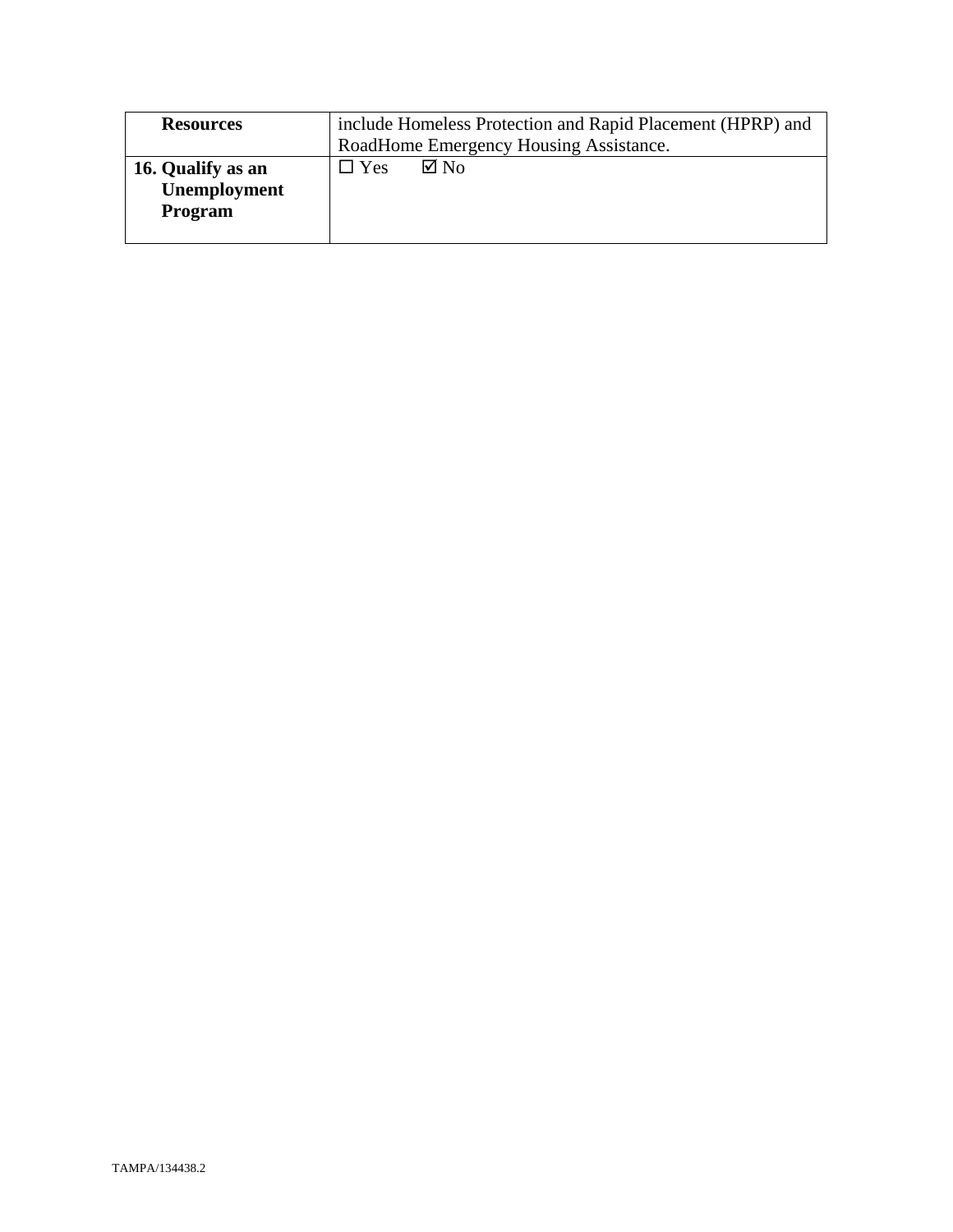| <b>Resources</b>                             | include Homeless Protection and Rapid Placement (HPRP) and |  |
|----------------------------------------------|------------------------------------------------------------|--|
|                                              | RoadHome Emergency Housing Assistance.                     |  |
| 16. Qualify as an<br>Unemployment<br>Program | $\nabla$ No<br>$\square$ Yes                               |  |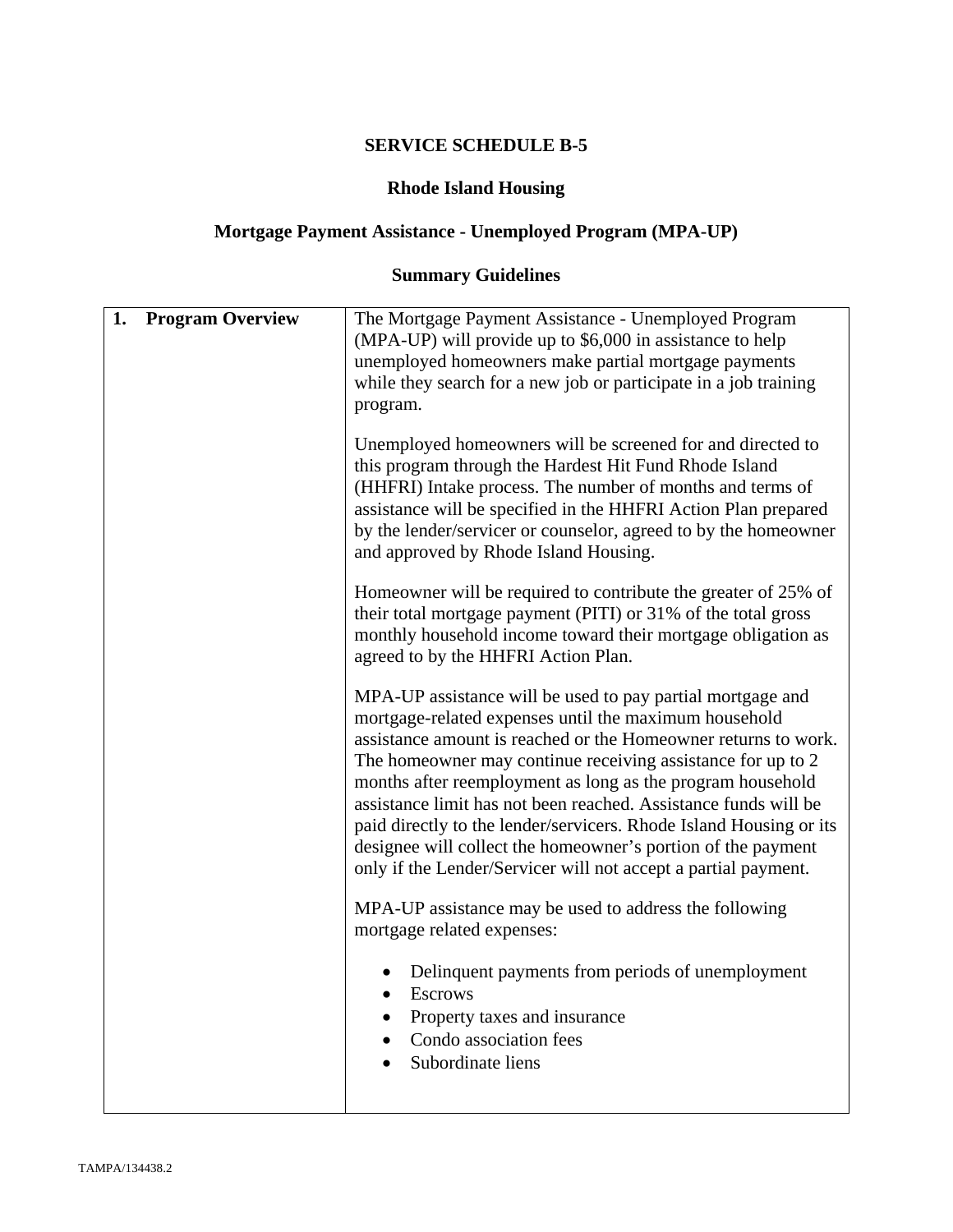## **Rhode Island Housing**

# **Mortgage Payment Assistance - Unemployed Program (MPA-UP)**

# **Summary Guidelines**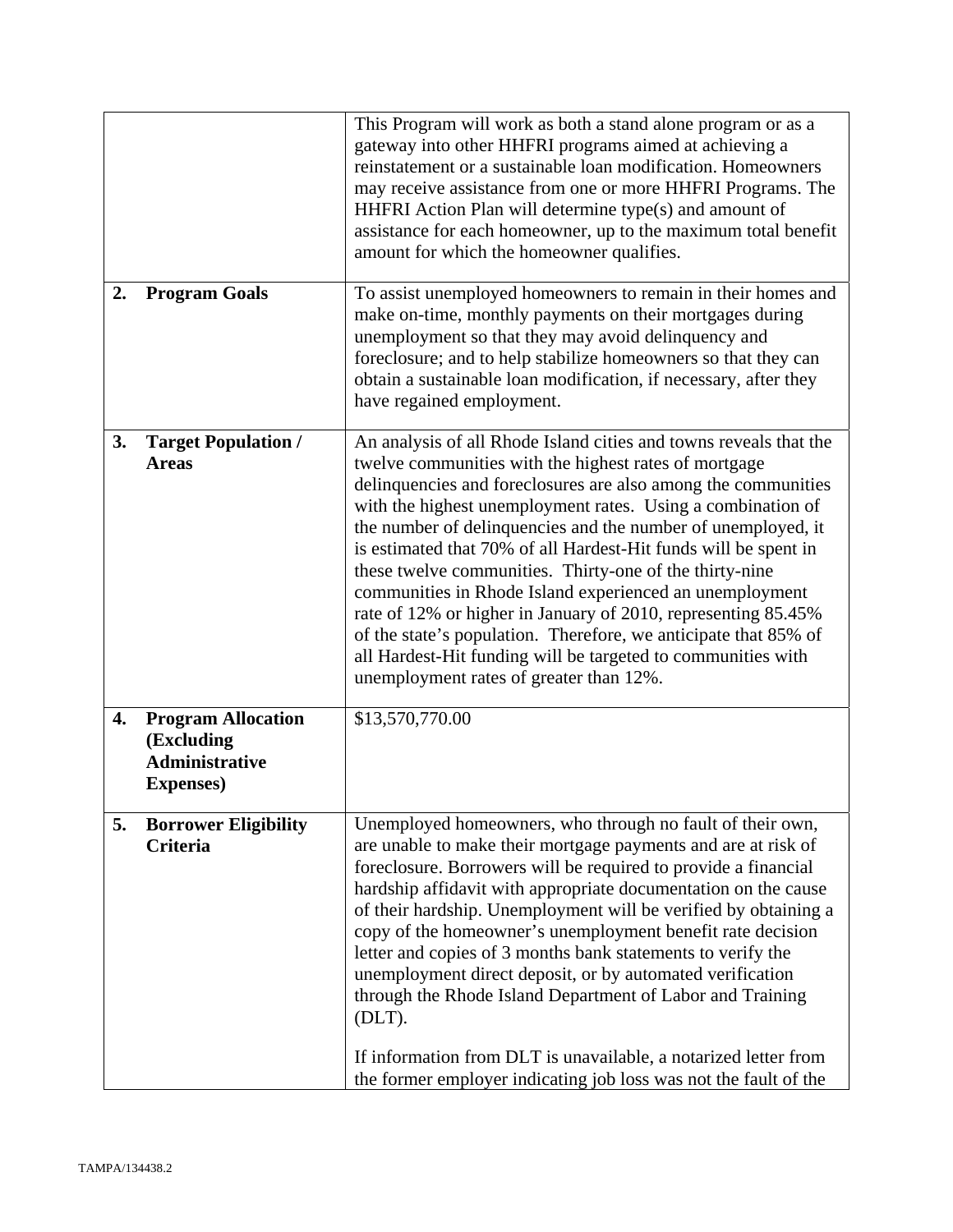|    |                                                                                       | This Program will work as both a stand alone program or as a<br>gateway into other HHFRI programs aimed at achieving a<br>reinstatement or a sustainable loan modification. Homeowners<br>may receive assistance from one or more HHFRI Programs. The<br>HHFRI Action Plan will determine type(s) and amount of<br>assistance for each homeowner, up to the maximum total benefit<br>amount for which the homeowner qualifies.                                                                                                                                                                                                                                                                                                                                     |
|----|---------------------------------------------------------------------------------------|--------------------------------------------------------------------------------------------------------------------------------------------------------------------------------------------------------------------------------------------------------------------------------------------------------------------------------------------------------------------------------------------------------------------------------------------------------------------------------------------------------------------------------------------------------------------------------------------------------------------------------------------------------------------------------------------------------------------------------------------------------------------|
| 2. | <b>Program Goals</b>                                                                  | To assist unemployed homeowners to remain in their homes and<br>make on-time, monthly payments on their mortgages during<br>unemployment so that they may avoid delinquency and<br>foreclosure; and to help stabilize homeowners so that they can<br>obtain a sustainable loan modification, if necessary, after they<br>have regained employment.                                                                                                                                                                                                                                                                                                                                                                                                                 |
| 3. | <b>Target Population /</b><br><b>Areas</b>                                            | An analysis of all Rhode Island cities and towns reveals that the<br>twelve communities with the highest rates of mortgage<br>delinquencies and foreclosures are also among the communities<br>with the highest unemployment rates. Using a combination of<br>the number of delinquencies and the number of unemployed, it<br>is estimated that 70% of all Hardest-Hit funds will be spent in<br>these twelve communities. Thirty-one of the thirty-nine<br>communities in Rhode Island experienced an unemployment<br>rate of 12% or higher in January of 2010, representing 85.45%<br>of the state's population. Therefore, we anticipate that 85% of<br>all Hardest-Hit funding will be targeted to communities with<br>unemployment rates of greater than 12%. |
| 4. | <b>Program Allocation</b><br>(Excluding<br><b>Administrative</b><br><b>Expenses</b> ) | \$13,570,770.00                                                                                                                                                                                                                                                                                                                                                                                                                                                                                                                                                                                                                                                                                                                                                    |
| 5. | <b>Borrower Eligibility</b><br>Criteria                                               | Unemployed homeowners, who through no fault of their own,<br>are unable to make their mortgage payments and are at risk of<br>foreclosure. Borrowers will be required to provide a financial<br>hardship affidavit with appropriate documentation on the cause<br>of their hardship. Unemployment will be verified by obtaining a<br>copy of the homeowner's unemployment benefit rate decision<br>letter and copies of 3 months bank statements to verify the<br>unemployment direct deposit, or by automated verification<br>through the Rhode Island Department of Labor and Training<br>$(DLT)$ .<br>If information from DLT is unavailable, a notarized letter from<br>the former employer indicating job loss was not the fault of the                       |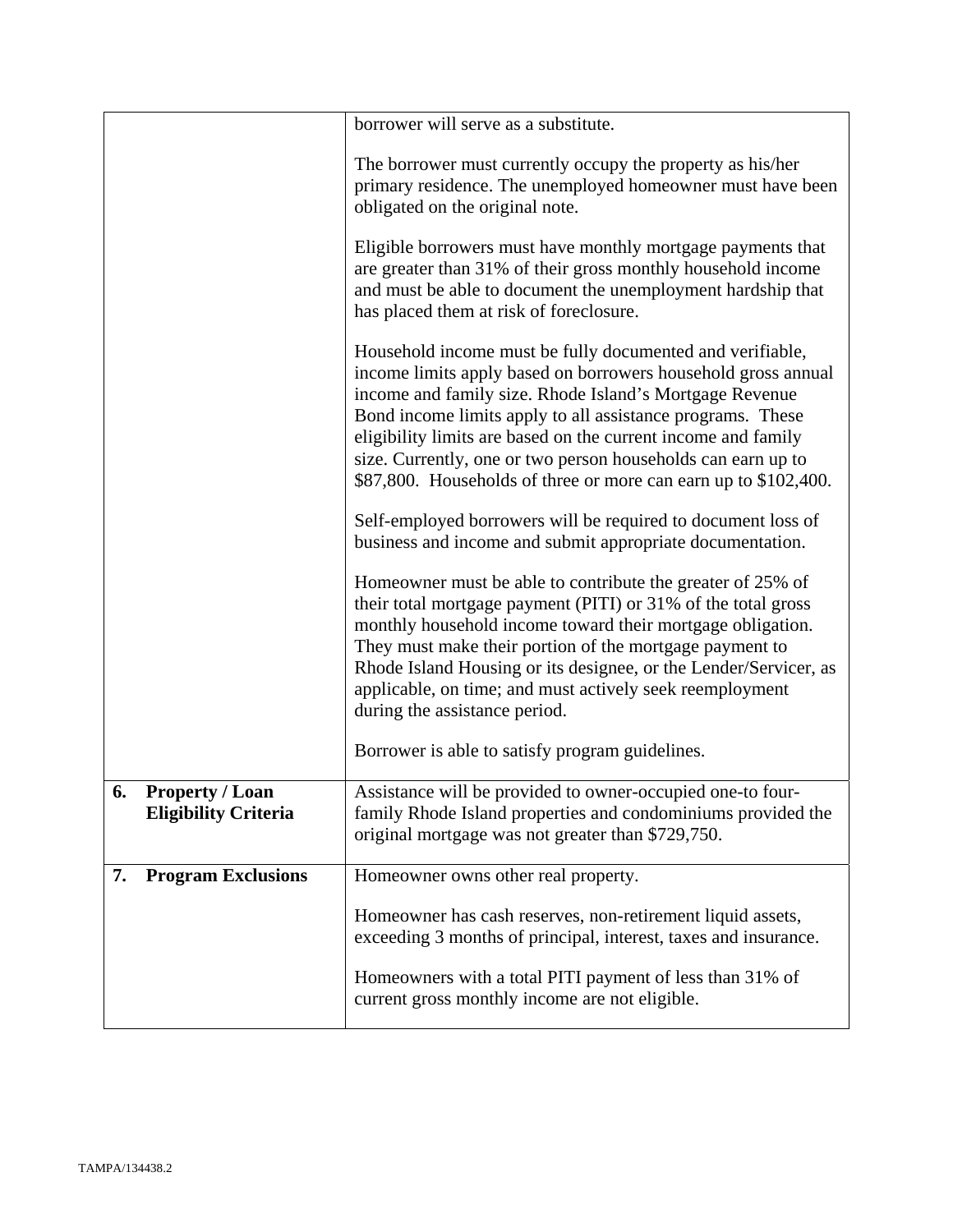|                                                             | borrower will serve as a substitute.                                                                                                                                                                                                                                                                                                                                                                                                                    |
|-------------------------------------------------------------|---------------------------------------------------------------------------------------------------------------------------------------------------------------------------------------------------------------------------------------------------------------------------------------------------------------------------------------------------------------------------------------------------------------------------------------------------------|
|                                                             | The borrower must currently occupy the property as his/her<br>primary residence. The unemployed homeowner must have been<br>obligated on the original note.                                                                                                                                                                                                                                                                                             |
|                                                             | Eligible borrowers must have monthly mortgage payments that<br>are greater than 31% of their gross monthly household income<br>and must be able to document the unemployment hardship that<br>has placed them at risk of foreclosure.                                                                                                                                                                                                                   |
|                                                             | Household income must be fully documented and verifiable,<br>income limits apply based on borrowers household gross annual<br>income and family size. Rhode Island's Mortgage Revenue<br>Bond income limits apply to all assistance programs. These<br>eligibility limits are based on the current income and family<br>size. Currently, one or two person households can earn up to<br>\$87,800. Households of three or more can earn up to \$102,400. |
|                                                             | Self-employed borrowers will be required to document loss of<br>business and income and submit appropriate documentation.                                                                                                                                                                                                                                                                                                                               |
|                                                             | Homeowner must be able to contribute the greater of 25% of<br>their total mortgage payment (PITI) or 31% of the total gross<br>monthly household income toward their mortgage obligation.<br>They must make their portion of the mortgage payment to<br>Rhode Island Housing or its designee, or the Lender/Servicer, as<br>applicable, on time; and must actively seek reemployment<br>during the assistance period.                                   |
|                                                             | Borrower is able to satisfy program guidelines.                                                                                                                                                                                                                                                                                                                                                                                                         |
| 6.<br><b>Property / Loan</b><br><b>Eligibility Criteria</b> | Assistance will be provided to owner-occupied one-to four-<br>family Rhode Island properties and condominiums provided the<br>original mortgage was not greater than \$729,750.                                                                                                                                                                                                                                                                         |
| <b>Program Exclusions</b><br>7.                             | Homeowner owns other real property.                                                                                                                                                                                                                                                                                                                                                                                                                     |
|                                                             | Homeowner has cash reserves, non-retirement liquid assets,<br>exceeding 3 months of principal, interest, taxes and insurance.                                                                                                                                                                                                                                                                                                                           |
|                                                             | Homeowners with a total PITI payment of less than 31% of<br>current gross monthly income are not eligible.                                                                                                                                                                                                                                                                                                                                              |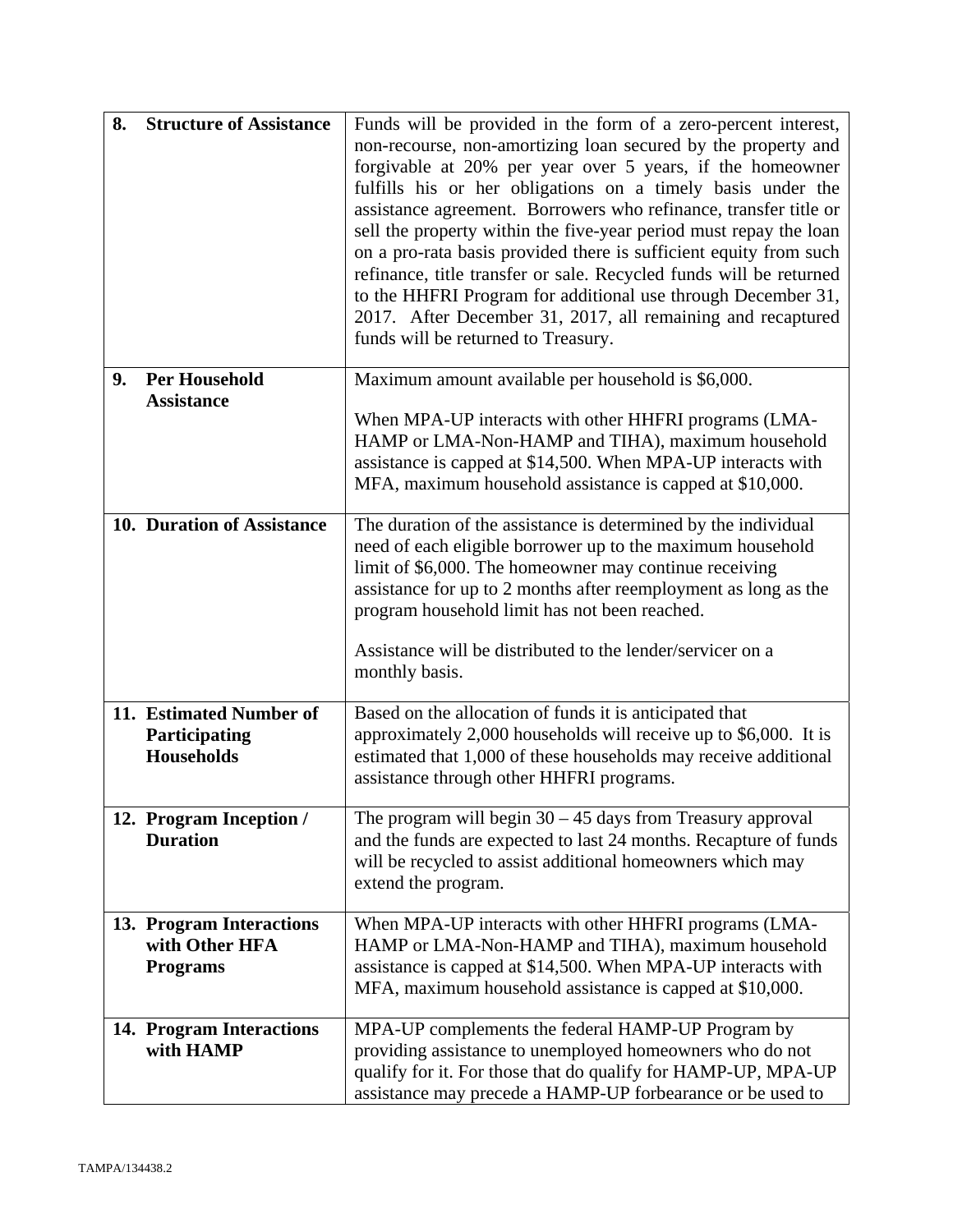| 8. | <b>Structure of Assistance</b>                                | Funds will be provided in the form of a zero-percent interest,<br>non-recourse, non-amortizing loan secured by the property and<br>forgivable at 20% per year over 5 years, if the homeowner<br>fulfills his or her obligations on a timely basis under the<br>assistance agreement. Borrowers who refinance, transfer title or<br>sell the property within the five-year period must repay the loan<br>on a pro-rata basis provided there is sufficient equity from such<br>refinance, title transfer or sale. Recycled funds will be returned<br>to the HHFRI Program for additional use through December 31,<br>2017. After December 31, 2017, all remaining and recaptured<br>funds will be returned to Treasury. |
|----|---------------------------------------------------------------|-----------------------------------------------------------------------------------------------------------------------------------------------------------------------------------------------------------------------------------------------------------------------------------------------------------------------------------------------------------------------------------------------------------------------------------------------------------------------------------------------------------------------------------------------------------------------------------------------------------------------------------------------------------------------------------------------------------------------|
| 9. | <b>Per Household</b><br><b>Assistance</b>                     | Maximum amount available per household is \$6,000.<br>When MPA-UP interacts with other HHFRI programs (LMA-<br>HAMP or LMA-Non-HAMP and TIHA), maximum household<br>assistance is capped at \$14,500. When MPA-UP interacts with<br>MFA, maximum household assistance is capped at \$10,000.                                                                                                                                                                                                                                                                                                                                                                                                                          |
|    | 10. Duration of Assistance                                    | The duration of the assistance is determined by the individual<br>need of each eligible borrower up to the maximum household<br>limit of \$6,000. The homeowner may continue receiving<br>assistance for up to 2 months after reemployment as long as the<br>program household limit has not been reached.<br>Assistance will be distributed to the lender/servicer on a<br>monthly basis.                                                                                                                                                                                                                                                                                                                            |
|    | 11. Estimated Number of<br>Participating<br>Households        | Based on the allocation of funds it is anticipated that<br>approximately 2,000 households will receive up to \$6,000. It is<br>estimated that 1,000 of these households may receive additional<br>assistance through other HHFRI programs.                                                                                                                                                                                                                                                                                                                                                                                                                                                                            |
|    | 12. Program Inception /<br><b>Duration</b>                    | The program will begin $30 - 45$ days from Treasury approval<br>and the funds are expected to last 24 months. Recapture of funds<br>will be recycled to assist additional homeowners which may<br>extend the program.                                                                                                                                                                                                                                                                                                                                                                                                                                                                                                 |
|    | 13. Program Interactions<br>with Other HFA<br><b>Programs</b> | When MPA-UP interacts with other HHFRI programs (LMA-<br>HAMP or LMA-Non-HAMP and TIHA), maximum household<br>assistance is capped at \$14,500. When MPA-UP interacts with<br>MFA, maximum household assistance is capped at \$10,000.                                                                                                                                                                                                                                                                                                                                                                                                                                                                                |
|    | 14. Program Interactions<br>with HAMP                         | MPA-UP complements the federal HAMP-UP Program by<br>providing assistance to unemployed homeowners who do not<br>qualify for it. For those that do qualify for HAMP-UP, MPA-UP<br>assistance may precede a HAMP-UP forbearance or be used to                                                                                                                                                                                                                                                                                                                                                                                                                                                                          |